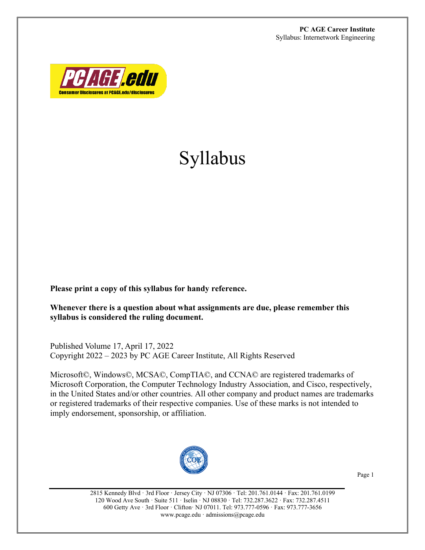

# Syllabus

**Please print a copy of this syllabus for handy reference.**

**Whenever there is a question about what assignments are due, please remember this syllabus is considered the ruling document.**

Published Volume 17, April 17, 2022 Copyright 2022 – 2023 by PC AGE Career Institute, All Rights Reserved

Microsoft©, Windows©, MCSA©, CompTIA©, and CCNA© are registered trademarks of Microsoft Corporation, the Computer Technology Industry Association, and Cisco, respectively, in the United States and/or other countries. All other company and product names are trademarks or registered trademarks of their respective companies. Use of these marks is not intended to imply endorsement, sponsorship, or affiliation.



Page 1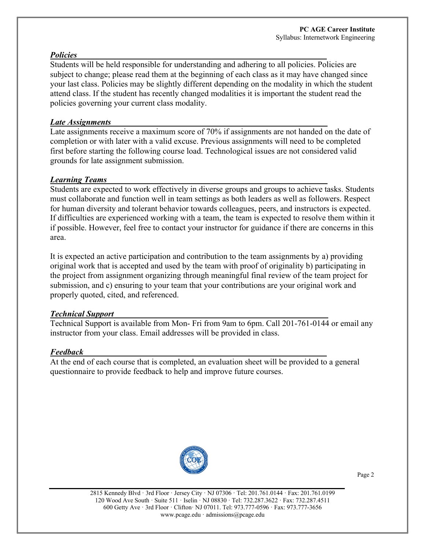#### *Policies*

Students will be held responsible for understanding and adhering to all policies. Policies are subject to change; please read them at the beginning of each class as it may have changed since your last class. Policies may be slightly different depending on the modality in which the student attend class. If the student has recently changed modalities it is important the student read the policies governing your current class modality.

#### *Late Assignments*

Late assignments receive a maximum score of 70% if assignments are not handed on the date of completion or with later with a valid excuse. Previous assignments will need to be completed first before starting the following course load. Technological issues are not considered valid grounds for late assignment submission.

#### *Learning Teams*

Students are expected to work effectively in diverse groups and groups to achieve tasks. Students must collaborate and function well in team settings as both leaders as well as followers. Respect for human diversity and tolerant behavior towards colleagues, peers, and instructors is expected. If difficulties are experienced working with a team, the team is expected to resolve them within it if possible. However, feel free to contact your instructor for guidance if there are concerns in this area.

It is expected an active participation and contribution to the team assignments by a) providing original work that is accepted and used by the team with proof of originality b) participating in the project from assignment organizing through meaningful final review of the team project for submission, and c) ensuring to your team that your contributions are your original work and properly quoted, cited, and referenced.

#### *Technical Support*

Technical Support is available from Mon- Fri from 9am to 6pm. Call 201-761-0144 or email any instructor from your class. Email addresses will be provided in class.

#### *Feedback*

At the end of each course that is completed, an evaluation sheet will be provided to a general questionnaire to provide feedback to help and improve future courses.



Page 2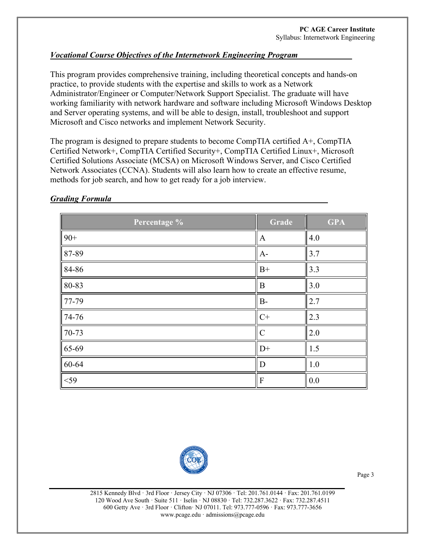#### *Vocational Course Objectives of the Internetwork Engineering Program*

This program provides comprehensive training, including theoretical concepts and hands-on practice, to provide students with the expertise and skills to work as a Network Administrator/Engineer or Computer/Network Support Specialist. The graduate will have working familiarity with network hardware and software including Microsoft Windows Desktop and Server operating systems, and will be able to design, install, troubleshoot and support Microsoft and Cisco networks and implement Network Security.

The program is designed to prepare students to become CompTIA certified A+, CompTIA Certified Network+, CompTIA Certified Security+, CompTIA Certified Linux+, Microsoft Certified Solutions Associate (MCSA) on Microsoft Windows Server, and Cisco Certified Network Associates (CCNA). Students will also learn how to create an effective resume, methods for job search, and how to get ready for a job interview.

| Percentage %      | Grade            | <b>GPA</b> |
|-------------------|------------------|------------|
| $90+$             | A                | 4.0        |
| $\ 87-89$         | $A-$             | 3.7        |
| 84-86             | $B+$             | 3.3        |
| 80-83             | $\boldsymbol{B}$ | 3.0        |
| $77-79$           | $B -$            | 2.7        |
| $74-76$           | $C+$             | 2.3        |
| $\parallel$ 70-73 | $\mathcal{C}$    | 2.0        |
| $  65 - 69$       | $D+$             | 1.5        |
| $  60 - 64$       | $\mathbf D$      | 1.0        |
| $<$ 59 $\,$       | ${\bf F}$        | 0.0        |

#### *Grading Formula*



Page 3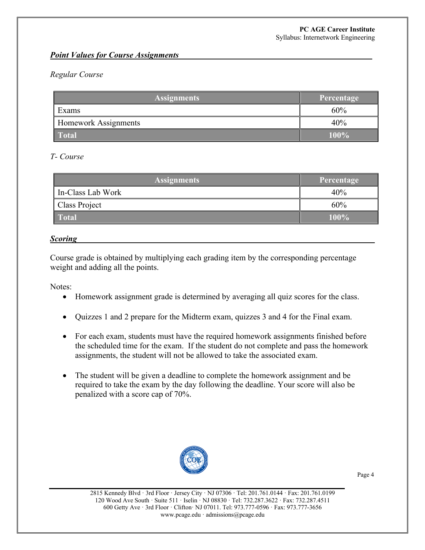## *Point Values for Course Assignments*

#### *Regular Course*

| <b>Assignments</b>          | Percentage |
|-----------------------------|------------|
| Exams                       | 60%        |
| <b>Homework Assignments</b> | 40%        |
| <b>Total</b>                | $100\%$    |

## *T- Course*

| <b>Assignments</b> | Percentage |
|--------------------|------------|
| In-Class Lab Work  | 40%        |
| Class Project      | 60%        |
| <b>Total</b>       | 100%       |

#### *Scoring*

Course grade is obtained by multiplying each grading item by the corresponding percentage weight and adding all the points.

Notes:

- Homework assignment grade is determined by averaging all quiz scores for the class.
- Quizzes 1 and 2 prepare for the Midterm exam, quizzes 3 and 4 for the Final exam.
- For each exam, students must have the required homework assignments finished before the scheduled time for the exam. If the student do not complete and pass the homework assignments, the student will not be allowed to take the associated exam.
- The student will be given a deadline to complete the homework assignment and be required to take the exam by the day following the deadline. Your score will also be penalized with a score cap of 70%.



Page 4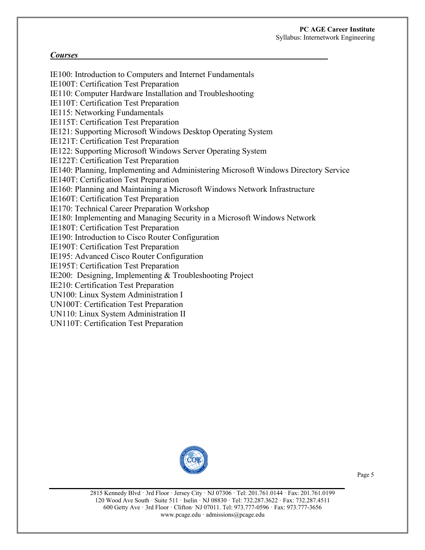#### *Courses*

IE100: Introduction to Computers and Internet Fundamentals IE100T: Certification Test Preparation IE110: Computer Hardware Installation and Troubleshooting IE110T: Certification Test Preparation IE115: Networking Fundamentals IE115T: Certification Test Preparation IE121: Supporting Microsoft Windows Desktop Operating System IE121T: Certification Test Preparation IE122: Supporting Microsoft Windows Server Operating System IE122T: Certification Test Preparation IE140: Planning, Implementing and Administering Microsoft Windows Directory Service IE140T: Certification Test Preparation IE160: Planning and Maintaining a Microsoft Windows Network Infrastructure IE160T: Certification Test Preparation IE170: Technical Career Preparation Workshop IE180: Implementing and Managing Security in a Microsoft Windows Network IE180T: Certification Test Preparation IE190: Introduction to Cisco Router Configuration IE190T: Certification Test Preparation IE195: Advanced Cisco Router Configuration IE195T: Certification Test Preparation IE200: Designing, Implementing & Troubleshooting Project IE210: Certification Test Preparation UN100: Linux System Administration I UN100T: Certification Test Preparation UN110: Linux System Administration II UN110T: Certification Test Preparation



Page 5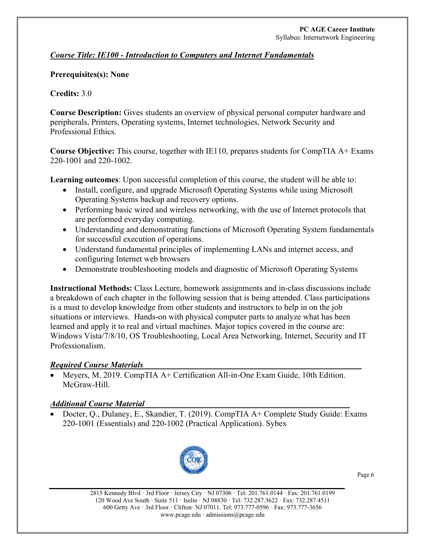#### *Course Title: IE100 - Introduction to Computers and Internet Fundamentals*

#### **Prerequisites(s): None**

#### **Credits:** 3.0

**Course Description:** Gives students an overview of physical personal computer hardware and peripherals, Printers, Operating systems, Internet technologies, Network Security and Professional Ethics.

**Course Objective:** This course, together with IE110, prepares students for CompTIA A+ Exams 220-1001 and 220-1002.

**Learning outcomes**: Upon successful completion of this course, the student will be able to:

- Install, configure, and upgrade Microsoft Operating Systems while using Microsoft Operating Systems backup and recovery options.
- Performing basic wired and wireless networking, with the use of Internet protocols that are performed everyday computing.
- Understanding and demonstrating functions of Microsoft Operating System fundamentals for successful execution of operations.
- Understand fundamental principles of implementing LANs and internet access, and configuring Internet web browsers
- Demonstrate troubleshooting models and diagnostic of Microsoft Operating Systems

**Instructional Methods:** Class Lecture, homework assignments and in-class discussions include a breakdown of each chapter in the following session that is being attended. Class participations is a must to develop knowledge from other students and instructors to help in on the job situations or interviews. Hands-on with physical computer parts to analyze what has been learned and apply it to real and virtual machines. Major topics covered in the course are: Windows Vista/7/8/10, OS Troubleshooting, Local Area Networking, Internet, Security and IT Professionalism.

#### *Required Course Materials*

• Meyers, M. 2019. CompTIA A+ Certification All-in-One Exam Guide, 10th Edition. McGraw-Hill.

#### *Additional Course Material*

• Docter, Q., Dulaney, E., Skandier, T. (2019). CompTIA A+ Complete Study Guide: Exams 220-1001 (Essentials) and 220-1002 (Practical Application). Sybex



Page 6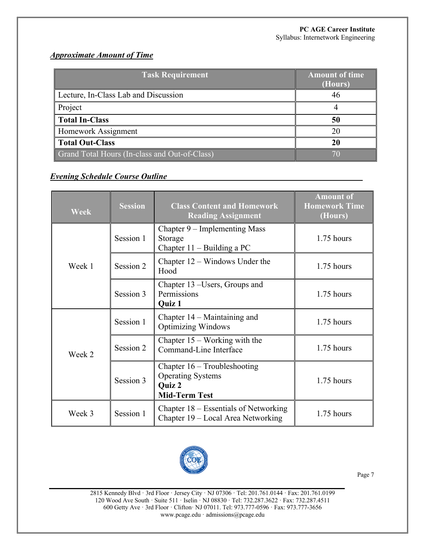# *Approximate Amount of Time*

| <b>Task Requirement</b>                       | <b>Amount of time</b><br>(Hours) |
|-----------------------------------------------|----------------------------------|
| Lecture, In-Class Lab and Discussion          | 46                               |
| Project                                       |                                  |
| <b>Total In-Class</b>                         | 50                               |
| Homework Assignment                           | 20                               |
| <b>Total Out-Class</b>                        | 20                               |
| Grand Total Hours (In-class and Out-of-Class) |                                  |

## *Evening Schedule Course Outline*

| <b>Week</b> | <b>Session</b> | <b>Class Content and Homework</b><br><b>Reading Assignment</b>                                      | <b>Amount of</b><br><b>Homework Time</b><br>(Hours) |
|-------------|----------------|-----------------------------------------------------------------------------------------------------|-----------------------------------------------------|
|             | Session 1      | Chapter $9$ – Implementing Mass<br>Storage<br>Chapter 11 - Building a PC                            | $1.75$ hours                                        |
| Week 1      | Session 2      | Chapter $12 -$ Windows Under the<br>Hood                                                            | $1.75$ hours                                        |
|             | Session 3      | Chapter 13 – Users, Groups and<br>Permissions<br>Quiz 1                                             | 1.75 hours                                          |
| Week 2      | Session 1      | Chapter $14 -$ Maintaining and<br><b>Optimizing Windows</b>                                         | $1.75$ hours                                        |
|             | Session 2      | Chapter $15 - Working$ with the<br>Command-Line Interface                                           | 1.75 hours                                          |
|             | Session 3      | Chapter $16$ – Troubleshooting<br><b>Operating Systems</b><br><b>Quiz 2</b><br><b>Mid-Term Test</b> | 1.75 hours                                          |
| Week 3      | Session 1      | Chapter 18 – Essentials of Networking<br>Chapter 19 - Local Area Networking                         | $1.75$ hours                                        |



Page 7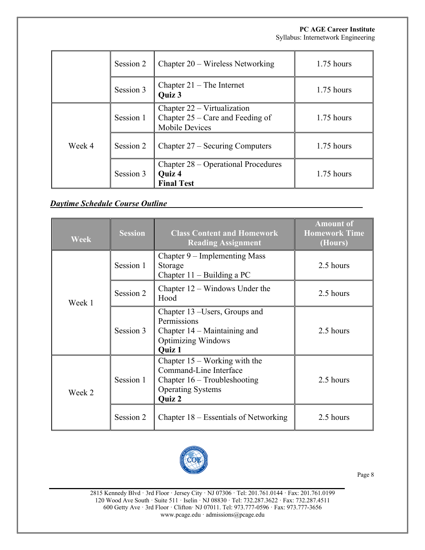|        | Session 2 | Chapter 20 – Wireless Networking                                                             | $1.75$ hours |
|--------|-----------|----------------------------------------------------------------------------------------------|--------------|
|        | Session 3 | Chapter $21$ – The Internet<br>Quiz 3                                                        | $1.75$ hours |
|        | Session 1 | Chapter $22 - Virtualization$<br>Chapter $25 -$ Care and Feeding of<br><b>Mobile Devices</b> | $1.75$ hours |
| Week 4 | Session 2 | Chapter 27 – Securing Computers                                                              | $1.75$ hours |
|        | Session 3 | Chapter 28 – Operational Procedures<br>Quiz 4<br><b>Final Test</b>                           | $1.75$ hours |

# *Daytime Schedule Course Outline*

| <b>Week</b> | <b>Session</b> | <b>Class Content and Homework</b><br><b>Reading Assignment</b>                                                                    | <b>Amount of</b><br><b>Homework Time</b><br>(Hours) |
|-------------|----------------|-----------------------------------------------------------------------------------------------------------------------------------|-----------------------------------------------------|
|             | Session 1      | Chapter $9$ – Implementing Mass<br>Storage<br>Chapter $11 -$ Building a PC                                                        | 2.5 hours                                           |
| Week 1      | Session 2      | Chapter $12 -$ Windows Under the<br>Hood                                                                                          | 2.5 hours                                           |
|             | Session 3      | Chapter 13 – Users, Groups and<br>Permissions<br>Chapter $14 -$ Maintaining and<br><b>Optimizing Windows</b><br><b>Quiz 1</b>     | 2.5 hours                                           |
| Week 2      | Session 1      | Chapter $15 - Working$ with the<br>Command-Line Interface<br>Chapter $16$ – Troubleshooting<br><b>Operating Systems</b><br>Quiz 2 | 2.5 hours                                           |
|             | Session 2      | Chapter $18$ – Essentials of Networking                                                                                           | 2.5 hours                                           |



Page 8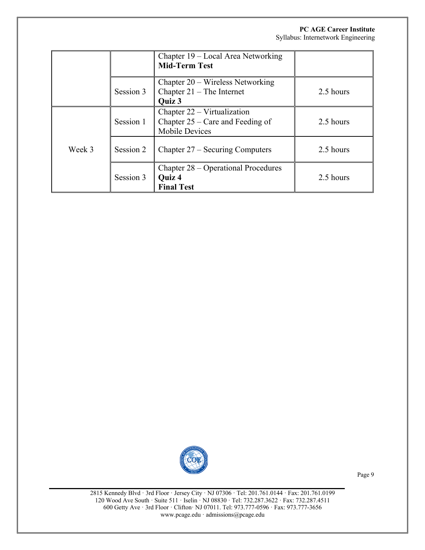|        |           | Chapter 19 – Local Area Networking<br><b>Mid-Term Test</b>                                   |           |
|--------|-----------|----------------------------------------------------------------------------------------------|-----------|
|        | Session 3 | Chapter $20$ – Wireless Networking<br>Chapter $21$ – The Internet<br>Quiz 3                  | 2.5 hours |
|        | Session 1 | Chapter $22 - Virtualization$<br>Chapter $25 -$ Care and Feeding of<br><b>Mobile Devices</b> | 2.5 hours |
| Week 3 | Session 2 | Chapter 27 – Securing Computers                                                              | 2.5 hours |
|        | Session 3 | Chapter 28 – Operational Procedures<br>Quiz 4<br><b>Final Test</b>                           | 2.5 hours |



Page 9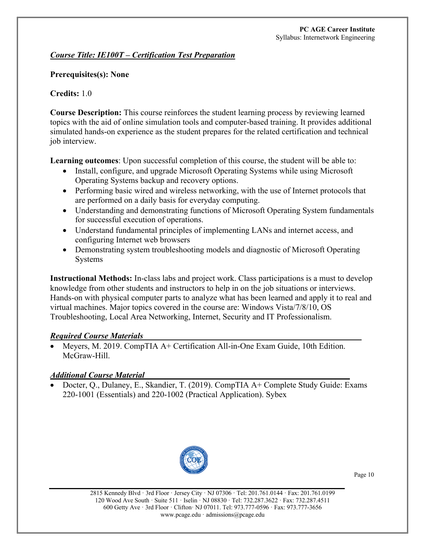#### *Course Title: IE100T – Certification Test Preparation*

#### **Prerequisites(s): None**

## **Credits:** 1.0

**Course Description:** This course reinforces the student learning process by reviewing learned topics with the aid of online simulation tools and computer-based training. It provides additional simulated hands-on experience as the student prepares for the related certification and technical job interview.

**Learning outcomes**: Upon successful completion of this course, the student will be able to:

- Install, configure, and upgrade Microsoft Operating Systems while using Microsoft Operating Systems backup and recovery options.
- Performing basic wired and wireless networking, with the use of Internet protocols that are performed on a daily basis for everyday computing.
- Understanding and demonstrating functions of Microsoft Operating System fundamentals for successful execution of operations.
- Understand fundamental principles of implementing LANs and internet access, and configuring Internet web browsers
- Demonstrating system troubleshooting models and diagnostic of Microsoft Operating Systems

**Instructional Methods:** In-class labs and project work. Class participations is a must to develop knowledge from other students and instructors to help in on the job situations or interviews. Hands-on with physical computer parts to analyze what has been learned and apply it to real and virtual machines. Major topics covered in the course are: Windows Vista/7/8/10, OS Troubleshooting, Local Area Networking, Internet, Security and IT Professionalism.

#### *Required Course Materials*

• Meyers, M. 2019. CompTIA A+ Certification All-in-One Exam Guide, 10th Edition. McGraw-Hill.

## *Additional Course Material*

• Docter, Q., Dulaney, E., Skandier, T. (2019). CompTIA A+ Complete Study Guide: Exams 220-1001 (Essentials) and 220-1002 (Practical Application). Sybex



Page 10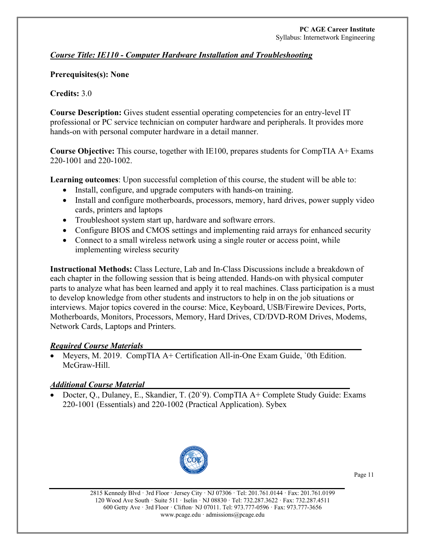## *Course Title: IE110 - Computer Hardware Installation and Troubleshooting*

#### **Prerequisites(s): None**

#### **Credits:** 3.0

**Course Description:** Gives student essential operating competencies for an entry-level IT professional or PC service technician on computer hardware and peripherals. It provides more hands-on with personal computer hardware in a detail manner.

**Course Objective:** This course, together with IE100, prepares students for CompTIA A+ Exams 220-1001 and 220-1002.

**Learning outcomes**: Upon successful completion of this course, the student will be able to:

- Install, configure, and upgrade computers with hands-on training.
- Install and configure motherboards, processors, memory, hard drives, power supply video cards, printers and laptops
- Troubleshoot system start up, hardware and software errors.
- Configure BIOS and CMOS settings and implementing raid arrays for enhanced security
- Connect to a small wireless network using a single router or access point, while implementing wireless security

**Instructional Methods:** Class Lecture, Lab and In-Class Discussions include a breakdown of each chapter in the following session that is being attended. Hands-on with physical computer parts to analyze what has been learned and apply it to real machines. Class participation is a must to develop knowledge from other students and instructors to help in on the job situations or interviews. Major topics covered in the course: Mice, Keyboard, USB/Firewire Devices, Ports, Motherboards, Monitors, Processors, Memory, Hard Drives, CD/DVD-ROM Drives, Modems, Network Cards, Laptops and Printers.

#### *Required Course Materials*

• Meyers, M. 2019. CompTIA A+ Certification All-in-One Exam Guide, `0th Edition. McGraw-Hill.

#### *Additional Course Material*

• Docter, Q., Dulaney, E., Skandier, T. (20`9). CompTIA A+ Complete Study Guide: Exams 220-1001 (Essentials) and 220-1002 (Practical Application). Sybex



Page 11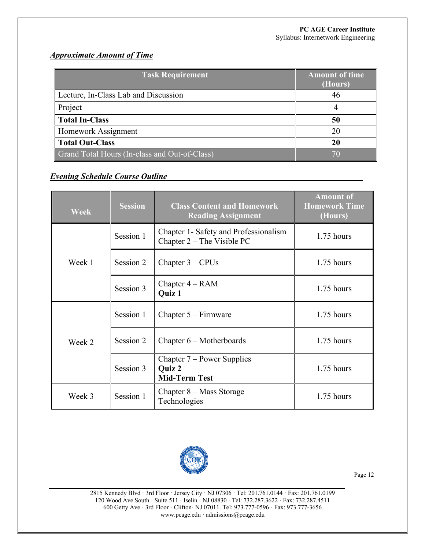# *Approximate Amount of Time*

| <b>Task Requirement</b>                       | <b>Amount of time</b><br>(Hours) |
|-----------------------------------------------|----------------------------------|
| Lecture, In-Class Lab and Discussion          | 46                               |
| Project                                       |                                  |
| <b>Total In-Class</b>                         | 50                               |
| Homework Assignment                           | 20                               |
| <b>Total Out-Class</b>                        | 20                               |
| Grand Total Hours (In-class and Out-of-Class) |                                  |

#### *Evening Schedule Course Outline*

| <b>Week</b> | <b>Session</b> | <b>Class Content and Homework</b><br><b>Reading Assignment</b>        | <b>Amount of</b><br><b>Homework Time</b><br>(Hours) |
|-------------|----------------|-----------------------------------------------------------------------|-----------------------------------------------------|
|             | Session 1      | Chapter 1- Safety and Professionalism<br>Chapter $2$ – The Visible PC | $1.75$ hours                                        |
| Week 1      | Session 2      | Chapter $3 - CPUs$                                                    | $1.75$ hours                                        |
|             | Session 3      | Chapter $4 - RAM$<br><b>Quiz 1</b>                                    | 1.75 hours                                          |
| Week 2      | Session 1      | Chapter $5 -$ Firmware                                                | $1.75$ hours                                        |
|             | Session 2      | Chapter $6$ – Motherboards                                            | $1.75$ hours                                        |
|             | Session 3      | Chapter $7$ – Power Supplies<br>Quiz 2<br><b>Mid-Term Test</b>        | 1.75 hours                                          |
| Week 3      | Session 1      | Chapter $8 - Mass$ Storage<br>Technologies                            | 1.75 hours                                          |



Page 12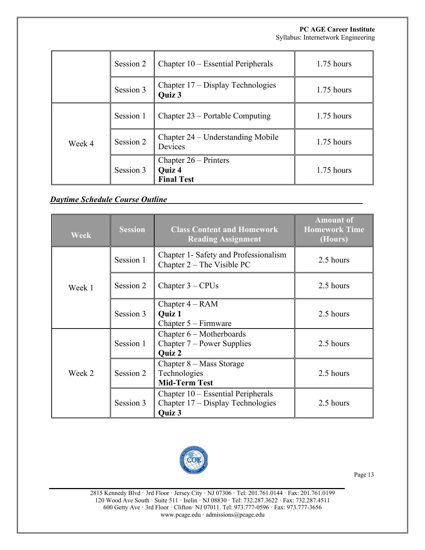|        | Session 2 | Chapter $10$ – Essential Peripherals                   | $1.75$ hours |
|--------|-----------|--------------------------------------------------------|--------------|
|        | Session 3 | Chapter $17 -$ Display Technologies<br>Quiz 3          | $1.75$ hours |
|        | Session 1 | Chapter $23$ – Portable Computing                      | $1.75$ hours |
| Week 4 | Session 2 | Chapter $24$ – Understanding Mobile<br>Devices         | $1.75$ hours |
|        | Session 3 | Chapter $26$ – Printers<br>Quiz 4<br><b>Final Test</b> | $1.75$ hours |

## *Daytime Schedule Course Outline*

| <b>Week</b> | <b>Session</b> | <b>Class Content and Homework</b><br><b>Reading Assignment</b>                      | <b>Amount of</b><br><b>Homework Time</b><br>(Hours) |
|-------------|----------------|-------------------------------------------------------------------------------------|-----------------------------------------------------|
|             | Session 1      | Chapter 1- Safety and Professionalism<br>Chapter $2$ – The Visible PC               | 2.5 hours                                           |
| Week 1      | Session 2      | Chapter $3 - CPUs$                                                                  | 2.5 hours                                           |
|             | Session 3      | Chapter $4 - RAM$<br>Quiz 1<br>Chapter $5 -$ Firmware                               | 2.5 hours                                           |
| Week 2      | Session 1      | Chapter 6 – Motherboards<br>Chapter $7$ – Power Supplies<br><b>Quiz 2</b>           | 2.5 hours                                           |
|             | Session 2      | Chapter 8 – Mass Storage<br>Technologies<br><b>Mid-Term Test</b>                    | 2.5 hours                                           |
|             | Session 3      | Chapter 10 – Essential Peripherals<br>Chapter $17 -$ Display Technologies<br>Quiz 3 | 2.5 hours                                           |



Page 13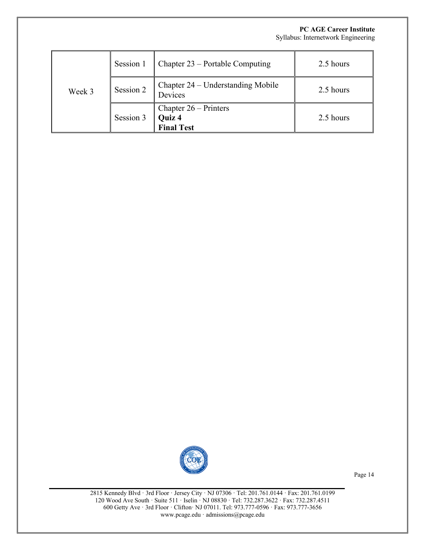#### **PC AGE Career Institute**

Syllabus: Internetwork Engineering

| Week 3 | Session 1 | Chapter 23 – Portable Computing                        | 2.5 hours |
|--------|-----------|--------------------------------------------------------|-----------|
|        | Session 2 | Chapter 24 – Understanding Mobile<br>Devices           | 2.5 hours |
|        | Session 3 | Chapter $26$ – Printers<br>Quiz 4<br><b>Final Test</b> | 2.5 hours |



Page 14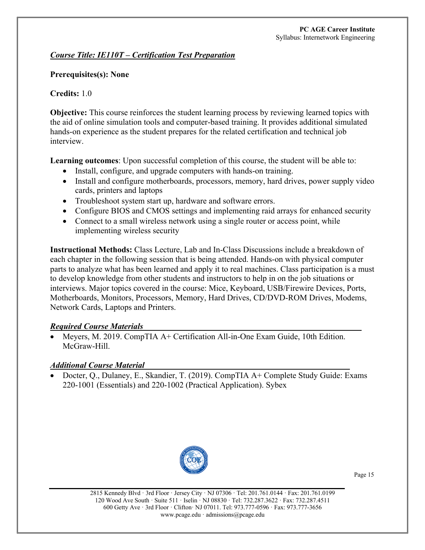## *Course Title: IE110T – Certification Test Preparation*

#### **Prerequisites(s): None**

## **Credits:** 1.0

**Objective:** This course reinforces the student learning process by reviewing learned topics with the aid of online simulation tools and computer-based training. It provides additional simulated hands-on experience as the student prepares for the related certification and technical job interview.

**Learning outcomes**: Upon successful completion of this course, the student will be able to:

- Install, configure, and upgrade computers with hands-on training.
- Install and configure motherboards, processors, memory, hard drives, power supply video cards, printers and laptops
- Troubleshoot system start up, hardware and software errors.
- Configure BIOS and CMOS settings and implementing raid arrays for enhanced security
- Connect to a small wireless network using a single router or access point, while implementing wireless security

**Instructional Methods:** Class Lecture, Lab and In-Class Discussions include a breakdown of each chapter in the following session that is being attended. Hands-on with physical computer parts to analyze what has been learned and apply it to real machines. Class participation is a must to develop knowledge from other students and instructors to help in on the job situations or interviews. Major topics covered in the course: Mice, Keyboard, USB/Firewire Devices, Ports, Motherboards, Monitors, Processors, Memory, Hard Drives, CD/DVD-ROM Drives, Modems, Network Cards, Laptops and Printers.

#### *Required Course Materials*

• Meyers, M. 2019. CompTIA A+ Certification All-in-One Exam Guide, 10th Edition. McGraw-Hill.

#### *Additional Course Material*

• Docter, O., Dulaney, E., Skandier, T. (2019). CompTIA A+ Complete Study Guide: Exams 220-1001 (Essentials) and 220-1002 (Practical Application). Sybex



Page 15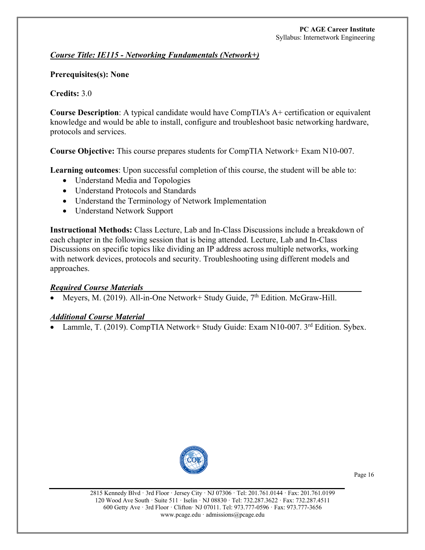#### *Course Title: IE115 - Networking Fundamentals (Network+)*

#### **Prerequisites(s): None**

#### **Credits:** 3.0

**Course Description**: A typical candidate would have CompTIA's A+ certification or equivalent knowledge and would be able to install, configure and troubleshoot basic networking hardware, protocols and services.

**Course Objective:** This course prepares students for CompTIA Network+ Exam N10-007.

**Learning outcomes**: Upon successful completion of this course, the student will be able to:

- Understand Media and Topologies
- Understand Protocols and Standards
- Understand the Terminology of Network Implementation
- Understand Network Support

**Instructional Methods:** Class Lecture, Lab and In-Class Discussions include a breakdown of each chapter in the following session that is being attended. Lecture, Lab and In-Class Discussions on specific topics like dividing an IP address across multiple networks, working with network devices, protocols and security. Troubleshooting using different models and approaches.

#### *Required Course Materials*

Meyers, M. (2019). All-in-One Network+ Study Guide, 7<sup>th</sup> Edition. McGraw-Hill.

#### *Additional Course Material*

• Lammle, T. (2019). CompTIA Network+ Study Guide: Exam N10-007. 3<sup>rd</sup> Edition. Sybex.



Page 16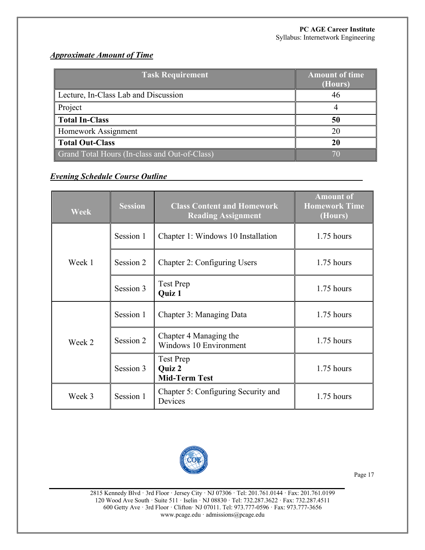# *Approximate Amount of Time*

| <b>Task Requirement</b>                       | <b>Amount of time</b><br>(Hours) |
|-----------------------------------------------|----------------------------------|
| Lecture, In-Class Lab and Discussion          | 46                               |
| Project                                       |                                  |
| <b>Total In-Class</b>                         | 50                               |
| Homework Assignment                           | 20                               |
| <b>Total Out-Class</b>                        | 20                               |
| Grand Total Hours (In-class and Out-of-Class) |                                  |

#### *Evening Schedule Course Outline*

| <b>Week</b> | <b>Session</b> | <b>Class Content and Homework</b><br><b>Reading Assignment</b> | <b>Amount of</b><br><b>Homework Time</b><br>(Hours) |
|-------------|----------------|----------------------------------------------------------------|-----------------------------------------------------|
|             | Session 1      | Chapter 1: Windows 10 Installation                             | $1.75$ hours                                        |
| Week 1      | Session 2      | Chapter 2: Configuring Users                                   | 1.75 hours                                          |
|             | Session 3      | <b>Test Prep</b><br>Quiz 1                                     | 1.75 hours                                          |
| Week 2      | Session 1      | Chapter 3: Managing Data                                       | 1.75 hours                                          |
|             | Session 2      | Chapter 4 Managing the<br><b>Windows 10 Environment</b>        | 1.75 hours                                          |
|             | Session 3      | <b>Test Prep</b><br>Quiz 2<br><b>Mid-Term Test</b>             | $1.75$ hours                                        |
| Week 3      | Session 1      | Chapter 5: Configuring Security and<br>Devices                 | 1.75 hours                                          |



Page 17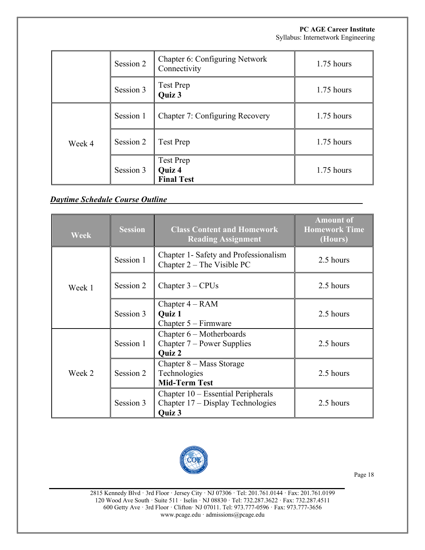# **PC AGE Career Institute**

Syllabus: Internetwork Engineering

|        | Session 2 | Chapter 6: Configuring Network<br>Connectivity | $1.75$ hours |
|--------|-----------|------------------------------------------------|--------------|
|        | Session 3 | <b>Test Prep</b><br>Quiz 3                     | $1.75$ hours |
| Week 4 | Session 1 | Chapter 7: Configuring Recovery                | $1.75$ hours |
|        | Session 2 | <b>Test Prep</b>                               | 1.75 hours   |
|        | Session 3 | Test Prep<br>Quiz 4<br><b>Final Test</b>       | 1.75 hours   |

## *Daytime Schedule Course Outline*

| <b>Week</b> | <b>Session</b> | <b>Class Content and Homework</b><br><b>Reading Assignment</b>                      | <b>Amount of</b><br><b>Homework Time</b><br>(Hours) |
|-------------|----------------|-------------------------------------------------------------------------------------|-----------------------------------------------------|
|             | Session 1      | Chapter 1- Safety and Professionalism<br>Chapter $2$ – The Visible PC               | 2.5 hours                                           |
| Week 1      | Session 2      | Chapter $3 - CPUs$                                                                  | 2.5 hours                                           |
|             | Session 3      | Chapter $4 - RAM$<br>Quiz 1<br>Chapter $5 -$ Firmware                               | 2.5 hours                                           |
| Week 2      | Session 1      | Chapter 6 – Motherboards<br>Chapter $7$ – Power Supplies<br><b>Quiz 2</b>           | 2.5 hours                                           |
|             | Session 2      | Chapter 8 – Mass Storage<br>Technologies<br><b>Mid-Term Test</b>                    | 2.5 hours                                           |
|             | Session 3      | Chapter 10 – Essential Peripherals<br>Chapter $17 -$ Display Technologies<br>Quiz 3 | 2.5 hours                                           |

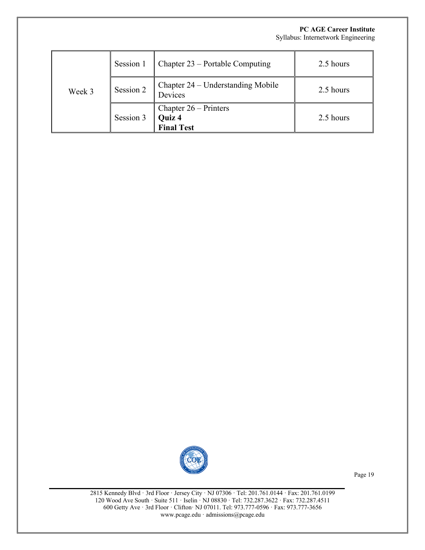#### **PC AGE Career Institute**

Syllabus: Internetwork Engineering

| Week 3 | Session 1 | Chapter 23 – Portable Computing                        | 2.5 hours |
|--------|-----------|--------------------------------------------------------|-----------|
|        | Session 2 | Chapter 24 – Understanding Mobile<br>Devices           | 2.5 hours |
|        | Session 3 | Chapter $26$ – Printers<br><b>Quiz 4</b><br>Final Test | 2.5 hours |



Page 19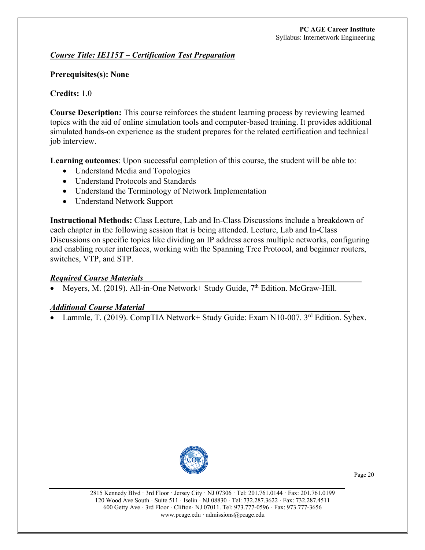#### *Course Title: IE115T – Certification Test Preparation*

#### **Prerequisites(s): None**

## **Credits:** 1.0

**Course Description:** This course reinforces the student learning process by reviewing learned topics with the aid of online simulation tools and computer-based training. It provides additional simulated hands-on experience as the student prepares for the related certification and technical job interview.

**Learning outcomes**: Upon successful completion of this course, the student will be able to:

- Understand Media and Topologies
- Understand Protocols and Standards
- Understand the Terminology of Network Implementation
- Understand Network Support

**Instructional Methods:** Class Lecture, Lab and In-Class Discussions include a breakdown of each chapter in the following session that is being attended. Lecture, Lab and In-Class Discussions on specific topics like dividing an IP address across multiple networks, configuring and enabling router interfaces, working with the Spanning Tree Protocol, and beginner routers, switches, VTP, and STP.

## *Required Course Materials*

Meyers, M. (2019). All-in-One Network+ Study Guide, 7<sup>th</sup> Edition. McGraw-Hill.

## *Additional Course Material*

Lammle, T. (2019). CompTIA Network+ Study Guide: Exam N10-007. 3<sup>rd</sup> Edition. Sybex.



Page 20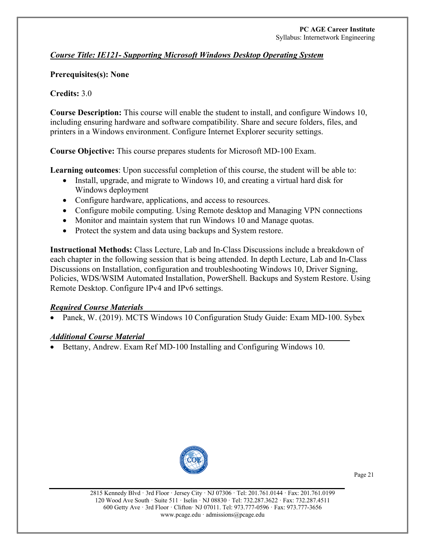#### *Course Title: IE121- Supporting Microsoft Windows Desktop Operating System*

#### **Prerequisites(s): None**

#### **Credits:** 3.0

**Course Description:** This course will enable the student to install, and configure Windows 10, including ensuring hardware and software compatibility. Share and secure folders, files, and printers in a Windows environment. Configure Internet Explorer security settings.

**Course Objective:** This course prepares students for Microsoft MD-100 Exam.

**Learning outcomes**: Upon successful completion of this course, the student will be able to:

- Install, upgrade, and migrate to Windows 10, and creating a virtual hard disk for Windows deployment
- Configure hardware, applications, and access to resources.
- Configure mobile computing. Using Remote desktop and Managing VPN connections
- Monitor and maintain system that run Windows 10 and Manage quotas.
- Protect the system and data using backups and System restore.

**Instructional Methods:** Class Lecture, Lab and In-Class Discussions include a breakdown of each chapter in the following session that is being attended. In depth Lecture, Lab and In-Class Discussions on Installation, configuration and troubleshooting Windows 10, Driver Signing, Policies, WDS/WSIM Automated Installation, PowerShell. Backups and System Restore. Using Remote Desktop. Configure IPv4 and IPv6 settings.

#### *Required Course Materials*

• Panek, W. (2019). MCTS Windows 10 Configuration Study Guide: Exam MD-100. Sybex

#### *Additional Course Material*

• Bettany, Andrew. Exam Ref MD-100 Installing and Configuring Windows 10.

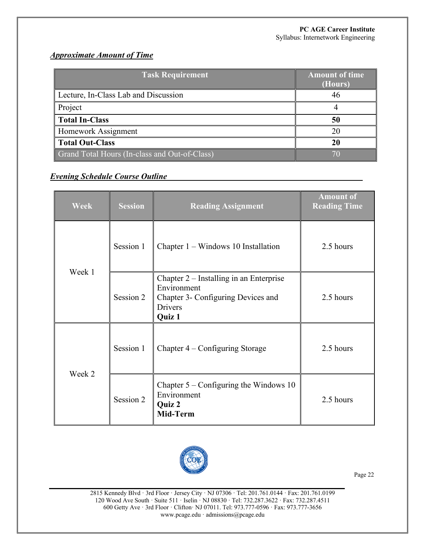# *Approximate Amount of Time*

| <b>Task Requirement</b>                       | <b>Amount of time</b><br>(Hours) |
|-----------------------------------------------|----------------------------------|
| Lecture, In-Class Lab and Discussion          | 46                               |
| Project                                       |                                  |
| <b>Total In-Class</b>                         | 50                               |
| Homework Assignment                           | 20                               |
| <b>Total Out-Class</b>                        | 20                               |
| Grand Total Hours (In-class and Out-of-Class) |                                  |

#### *Evening Schedule Course Outline*

| <b>Week</b> | <b>Session</b> | <b>Reading Assignment</b>                                                                                                | <b>Amount of</b><br><b>Reading Time</b> |
|-------------|----------------|--------------------------------------------------------------------------------------------------------------------------|-----------------------------------------|
| Week 1      | Session 1      | Chapter $1 -$ Windows 10 Installation                                                                                    | 2.5 hours                               |
|             | Session 2      | Chapter 2 – Installing in an Enterprise<br>Environment<br>Chapter 3- Configuring Devices and<br><b>Drivers</b><br>Quiz 1 | 2.5 hours                               |
| Week 2      | Session 1      | Chapter $4$ – Configuring Storage                                                                                        | 2.5 hours                               |
|             | Session 2      | Chapter $5 -$ Configuring the Windows 10<br>Environment<br>Quiz 2<br>Mid-Term                                            | 2.5 hours                               |



Page 22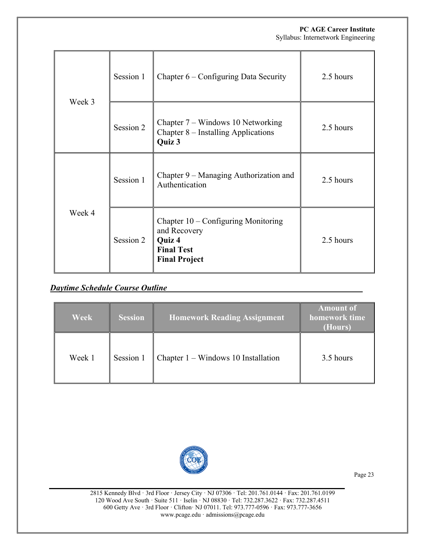| Week 3 | Session 1 | Chapter 6 - Configuring Data Security                                                                        | 2.5 hours |
|--------|-----------|--------------------------------------------------------------------------------------------------------------|-----------|
|        | Session 2 | Chapter 7 – Windows 10 Networking<br>Chapter 8 – Installing Applications<br>Quiz 3                           | 2.5 hours |
| Week 4 | Session 1 | Chapter 9 – Managing Authorization and<br>Authentication                                                     | 2.5 hours |
|        | Session 2 | Chapter $10 -$ Configuring Monitoring<br>and Recovery<br>Quiz 4<br><b>Final Test</b><br><b>Final Project</b> | 2.5 hours |

## *Daytime Schedule Course Outline*

| <b>Week</b> | <b>Session</b> | <b>Homework Reading Assignment</b>    | <b>Amount of</b><br>homework time<br>(Hours) |
|-------------|----------------|---------------------------------------|----------------------------------------------|
| Week 1      | Session 1      | Chapter $1 -$ Windows 10 Installation | 3.5 hours                                    |



Page 23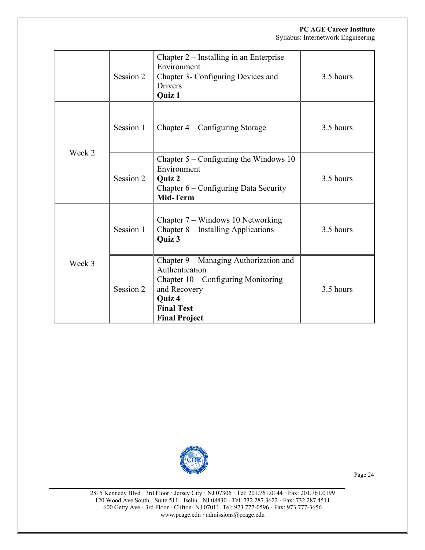|        | Session 2 | Chapter 2 – Installing in an Enterprise<br>Environment<br>Chapter 3- Configuring Devices and<br>Drivers<br>Quiz 1                                                      | 3.5 hours |
|--------|-----------|------------------------------------------------------------------------------------------------------------------------------------------------------------------------|-----------|
|        | Session 1 | Chapter 4 – Configuring Storage                                                                                                                                        | 3.5 hours |
| Week 2 | Session 2 | Chapter $5 -$ Configuring the Windows 10<br>Environment<br>Quiz 2<br>Chapter 6 - Configuring Data Security<br>Mid-Term                                                 | 3.5 hours |
|        | Session 1 | Chapter $7 -$ Windows 10 Networking<br>Chapter $8$ – Installing Applications<br>Quiz 3                                                                                 | 3.5 hours |
| Week 3 | Session 2 | Chapter 9 – Managing Authorization and<br>Authentication<br>Chapter 10 – Configuring Monitoring<br>and Recovery<br>Quiz 4<br><b>Final Test</b><br><b>Final Project</b> | 3.5 hours |



Page 24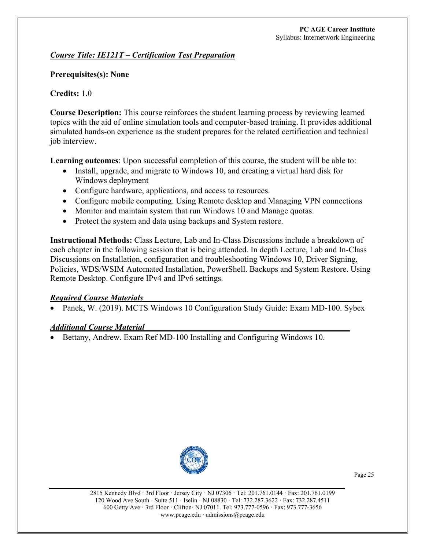## *Course Title: IE121T – Certification Test Preparation*

#### **Prerequisites(s): None**

## **Credits:** 1.0

**Course Description:** This course reinforces the student learning process by reviewing learned topics with the aid of online simulation tools and computer-based training. It provides additional simulated hands-on experience as the student prepares for the related certification and technical job interview.

**Learning outcomes**: Upon successful completion of this course, the student will be able to:

- Install, upgrade, and migrate to Windows 10, and creating a virtual hard disk for Windows deployment
- Configure hardware, applications, and access to resources.
- Configure mobile computing. Using Remote desktop and Managing VPN connections
- Monitor and maintain system that run Windows 10 and Manage quotas.
- Protect the system and data using backups and System restore.

**Instructional Methods:** Class Lecture, Lab and In-Class Discussions include a breakdown of each chapter in the following session that is being attended. In depth Lecture, Lab and In-Class Discussions on Installation, configuration and troubleshooting Windows 10, Driver Signing, Policies, WDS/WSIM Automated Installation, PowerShell. Backups and System Restore. Using Remote Desktop. Configure IPv4 and IPv6 settings.

#### *Required Course Materials*

• Panek, W. (2019). MCTS Windows 10 Configuration Study Guide: Exam MD-100. Sybex

#### *Additional Course Material*

• Bettany, Andrew. Exam Ref MD-100 Installing and Configuring Windows 10.

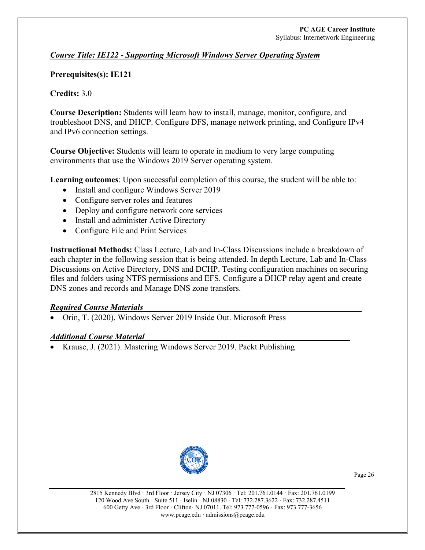#### *Course Title: IE122 - Supporting Microsoft Windows Server Operating System*

## **Prerequisites(s): IE121**

#### **Credits:** 3.0

**Course Description:** Students will learn how to install, manage, monitor, configure, and troubleshoot DNS, and DHCP. Configure DFS, manage network printing, and Configure IPv4 and IPv6 connection settings.

**Course Objective:** Students will learn to operate in medium to very large computing environments that use the Windows 2019 Server operating system.

**Learning outcomes**: Upon successful completion of this course, the student will be able to:

- Install and configure Windows Server 2019
- Configure server roles and features
- Deploy and configure network core services
- Install and administer Active Directory
- Configure File and Print Services

**Instructional Methods:** Class Lecture, Lab and In-Class Discussions include a breakdown of each chapter in the following session that is being attended. In depth Lecture, Lab and In-Class Discussions on Active Directory, DNS and DCHP. Testing configuration machines on securing files and folders using NTFS permissions and EFS. Configure a DHCP relay agent and create DNS zones and records and Manage DNS zone transfers.

#### *Required Course Materials*

• Orin, T. (2020). Windows Server 2019 Inside Out. Microsoft Press

#### *Additional Course Material*

• Krause, J. (2021). Mastering Windows Server 2019. Packt Publishing



Page 26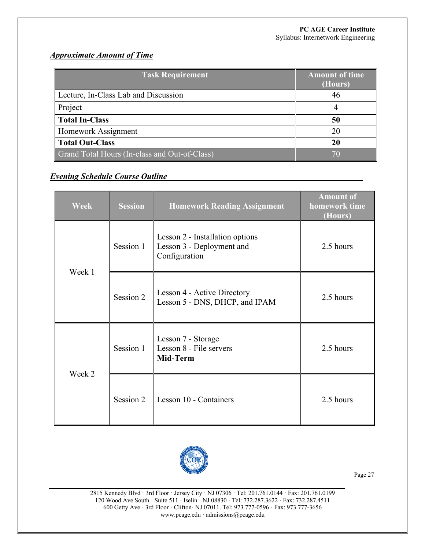# *Approximate Amount of Time*

| <b>Task Requirement</b>                       | <b>Amount of time</b><br>(Hours) |
|-----------------------------------------------|----------------------------------|
| Lecture, In-Class Lab and Discussion          | 46                               |
| Project                                       |                                  |
| <b>Total In-Class</b>                         | 50                               |
| Homework Assignment                           | 20                               |
| <b>Total Out-Class</b>                        | 20                               |
| Grand Total Hours (In-class and Out-of-Class) |                                  |

## *Evening Schedule Course Outline*

| <b>Week</b> | <b>Session</b> | <b>Homework Reading Assignment</b>                                            | <b>Amount of</b><br>homework time<br>(Hours) |
|-------------|----------------|-------------------------------------------------------------------------------|----------------------------------------------|
| Week 1      | Session 1      | Lesson 2 - Installation options<br>Lesson 3 - Deployment and<br>Configuration | 2.5 hours                                    |
|             | Session 2      | Lesson 4 - Active Directory<br>Lesson 5 - DNS, DHCP, and IPAM                 | 2.5 hours                                    |
| Week 2      | Session 1      | Lesson 7 - Storage<br>Lesson 8 - File servers<br>Mid-Term                     | 2.5 hours                                    |
|             | Session 2      | Lesson 10 - Containers                                                        | 2.5 hours                                    |



Page 27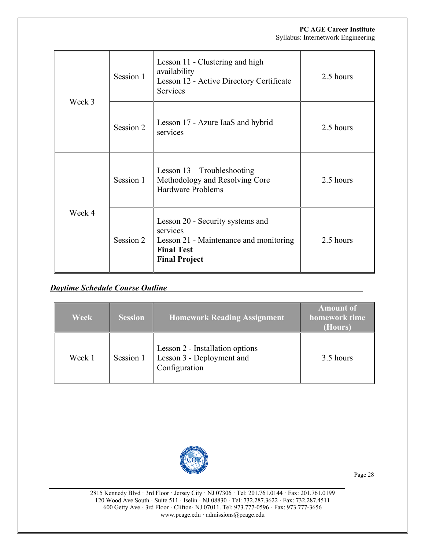| Week 3 | Session 1 | Lesson 11 - Clustering and high<br>availability<br>Lesson 12 - Active Directory Certificate<br><b>Services</b>                      | 2.5 hours |
|--------|-----------|-------------------------------------------------------------------------------------------------------------------------------------|-----------|
|        | Session 2 | Lesson 17 - Azure IaaS and hybrid<br>services                                                                                       | 2.5 hours |
| Week 4 | Session 1 | Lesson $13$ – Troubleshooting<br>Methodology and Resolving Core<br><b>Hardware Problems</b>                                         | 2.5 hours |
|        | Session 2 | Lesson 20 - Security systems and<br>services<br>Lesson 21 - Maintenance and monitoring<br><b>Final Test</b><br><b>Final Project</b> | 2.5 hours |

# *Daytime Schedule Course Outline*

| <b>Week</b> | <b>Session</b> | <b>Homework Reading Assignment</b>                                            | <b>Amount of</b><br>homework time<br>(Hours) |
|-------------|----------------|-------------------------------------------------------------------------------|----------------------------------------------|
| Week 1      | Session 1      | Lesson 2 - Installation options<br>Lesson 3 - Deployment and<br>Configuration | 3.5 hours                                    |



Page 28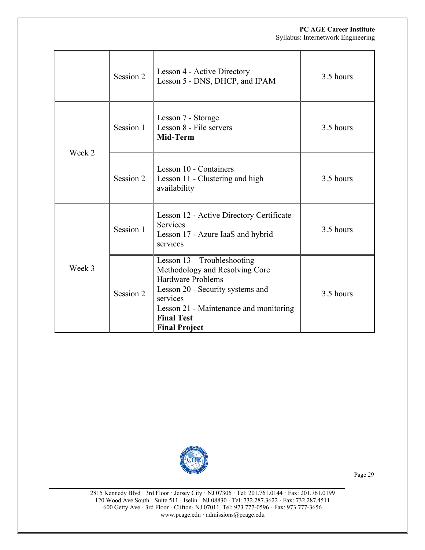|        | Session 2 | Lesson 4 - Active Directory<br>Lesson 5 - DNS, DHCP, and IPAM                                                                                                                                                                    | 3.5 hours |
|--------|-----------|----------------------------------------------------------------------------------------------------------------------------------------------------------------------------------------------------------------------------------|-----------|
| Week 2 | Session 1 | Lesson 7 - Storage<br>Lesson 8 - File servers<br><b>Mid-Term</b>                                                                                                                                                                 | 3.5 hours |
|        | Session 2 | Lesson 10 - Containers<br>Lesson 11 - Clustering and high<br>availability                                                                                                                                                        | 3.5 hours |
| Week 3 | Session 1 | Lesson 12 - Active Directory Certificate<br><b>Services</b><br>Lesson 17 - Azure IaaS and hybrid<br>services                                                                                                                     | 3.5 hours |
|        | Session 2 | Lesson 13 - Troubleshooting<br>Methodology and Resolving Core<br><b>Hardware Problems</b><br>Lesson 20 - Security systems and<br>services<br>Lesson 21 - Maintenance and monitoring<br><b>Final Test</b><br><b>Final Project</b> | 3.5 hours |



Page 29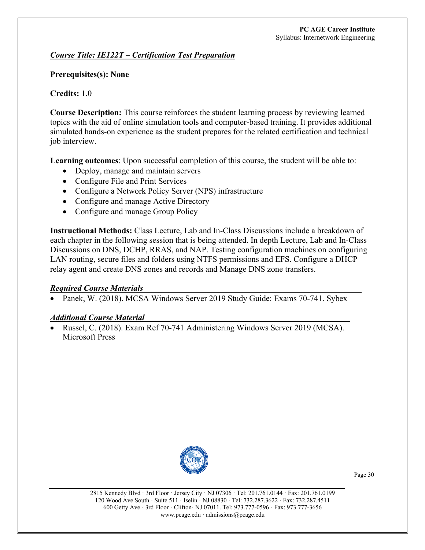#### *Course Title: IE122T – Certification Test Preparation*

#### **Prerequisites(s): None**

#### **Credits:** 1.0

**Course Description:** This course reinforces the student learning process by reviewing learned topics with the aid of online simulation tools and computer-based training. It provides additional simulated hands-on experience as the student prepares for the related certification and technical job interview.

**Learning outcomes**: Upon successful completion of this course, the student will be able to:

- Deploy, manage and maintain servers
- Configure File and Print Services
- Configure a Network Policy Server (NPS) infrastructure
- Configure and manage Active Directory
- Configure and manage Group Policy

**Instructional Methods:** Class Lecture, Lab and In-Class Discussions include a breakdown of each chapter in the following session that is being attended. In depth Lecture, Lab and In-Class Discussions on DNS, DCHP, RRAS, and NAP. Testing configuration machines on configuring LAN routing, secure files and folders using NTFS permissions and EFS. Configure a DHCP relay agent and create DNS zones and records and Manage DNS zone transfers.

#### *Required Course Materials*

• Panek, W. (2018). MCSA Windows Server 2019 Study Guide: Exams 70-741. Sybex

#### *Additional Course Material*

• Russel, C. (2018). Exam Ref 70-741 Administering Windows Server 2019 (MCSA). Microsoft Press



Page 30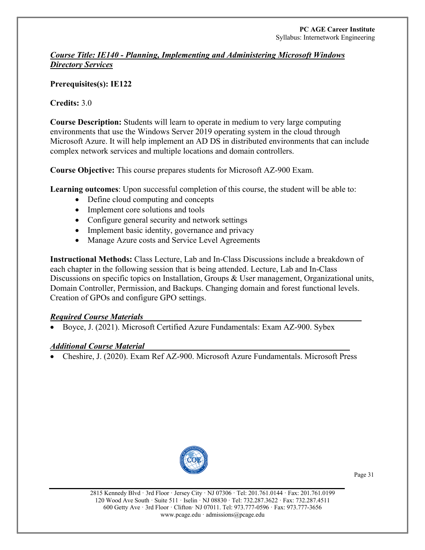#### *Course Title: IE140 - Planning, Implementing and Administering Microsoft Windows Directory Services*

## **Prerequisites(s): IE122**

#### **Credits:** 3.0

**Course Description:** Students will learn to operate in medium to very large computing environments that use the Windows Server 2019 operating system in the cloud through Microsoft Azure. It will help implement an AD DS in distributed environments that can include complex network services and multiple locations and domain controllers.

**Course Objective:** This course prepares students for Microsoft AZ-900 Exam.

**Learning outcomes**: Upon successful completion of this course, the student will be able to:

- Define cloud computing and concepts
- Implement core solutions and tools
- Configure general security and network settings
- Implement basic identity, governance and privacy
- Manage Azure costs and Service Level Agreements

**Instructional Methods:** Class Lecture, Lab and In-Class Discussions include a breakdown of each chapter in the following session that is being attended. Lecture, Lab and In-Class Discussions on specific topics on Installation, Groups & User management, Organizational units, Domain Controller, Permission, and Backups. Changing domain and forest functional levels. Creation of GPOs and configure GPO settings.

#### *Required Course Materials*

• Boyce, J. (2021). Microsoft Certified Azure Fundamentals: Exam AZ-900. Sybex

## *Additional Course Material*

• Cheshire, J. (2020). Exam Ref AZ-900. Microsoft Azure Fundamentals. Microsoft Press

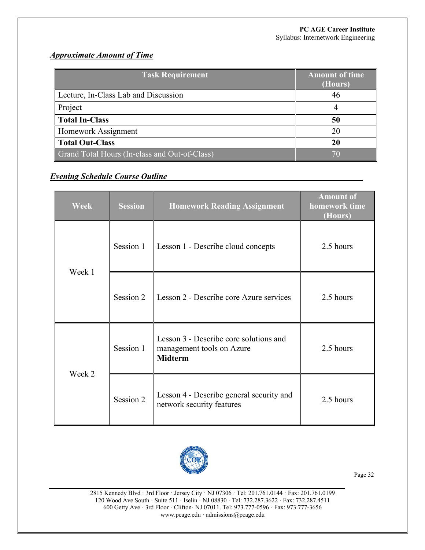# *Approximate Amount of Time*

| <b>Task Requirement</b>                       | <b>Amount of time</b><br>(Hours) |
|-----------------------------------------------|----------------------------------|
| Lecture, In-Class Lab and Discussion          | 46                               |
| Project                                       |                                  |
| <b>Total In-Class</b>                         | 50                               |
| Homework Assignment                           |                                  |
| <b>Total Out-Class</b>                        | 20                               |
| Grand Total Hours (In-class and Out-of-Class) |                                  |

## *Evening Schedule Course Outline*

| <b>Week</b> | <b>Session</b> | <b>Homework Reading Assignment</b>                                                    | <b>Amount of</b><br>homework time<br>(Hours) |
|-------------|----------------|---------------------------------------------------------------------------------------|----------------------------------------------|
| Week 1      | Session 1      | Lesson 1 - Describe cloud concepts                                                    | 2.5 hours                                    |
|             | Session 2      | Lesson 2 - Describe core Azure services                                               | 2.5 hours                                    |
| Week 2      | Session 1      | Lesson 3 - Describe core solutions and<br>management tools on Azure<br><b>Midterm</b> | 2.5 hours                                    |
|             | Session 2      | Lesson 4 - Describe general security and<br>network security features                 | 2.5 hours                                    |



Page 32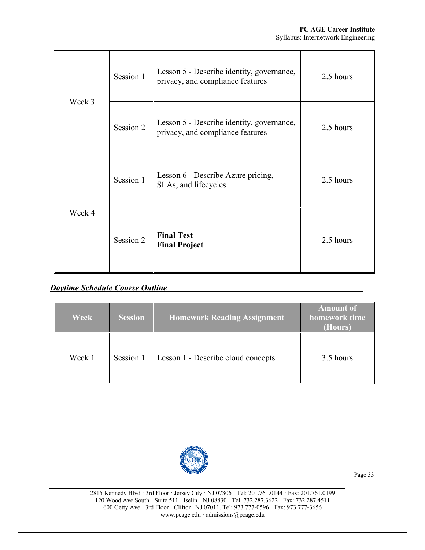| Week 3 | Session 1 | Lesson 5 - Describe identity, governance,<br>privacy, and compliance features | 2.5 hours |
|--------|-----------|-------------------------------------------------------------------------------|-----------|
|        | Session 2 | Lesson 5 - Describe identity, governance,<br>privacy, and compliance features | 2.5 hours |
| Week 4 | Session 1 | Lesson 6 - Describe Azure pricing,<br>SLAs, and lifecycles                    | 2.5 hours |
|        | Session 2 | <b>Final Test</b><br><b>Final Project</b>                                     | 2.5 hours |

# *Daytime Schedule Course Outline*

| <b>Week</b> | <b>Session</b> | <b>Homework Reading Assignment</b> | <b>Amount of</b><br>homework time<br>(Hours) |
|-------------|----------------|------------------------------------|----------------------------------------------|
| Week 1      | Session 1      | Lesson 1 - Describe cloud concepts | 3.5 hours                                    |



Page 33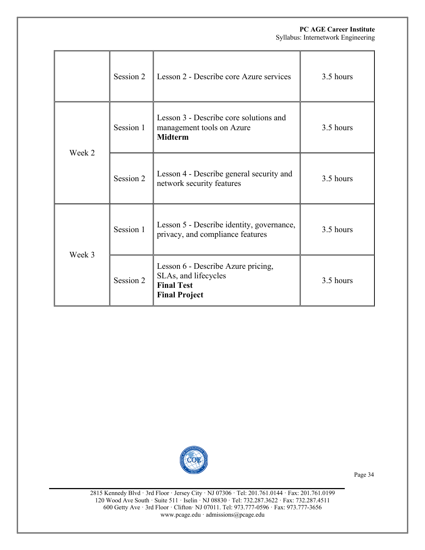|        | Session 2 | Lesson 2 - Describe core Azure services                                                                 | 3.5 hours |
|--------|-----------|---------------------------------------------------------------------------------------------------------|-----------|
| Week 2 | Session 1 | Lesson 3 - Describe core solutions and<br>management tools on Azure<br><b>Midterm</b>                   | 3.5 hours |
|        | Session 2 | Lesson 4 - Describe general security and<br>network security features                                   | 3.5 hours |
| Week 3 | Session 1 | Lesson 5 - Describe identity, governance,<br>privacy, and compliance features                           | 3.5 hours |
|        | Session 2 | Lesson 6 - Describe Azure pricing,<br>SLAs, and lifecycles<br><b>Final Test</b><br><b>Final Project</b> | 3.5 hours |



Page 34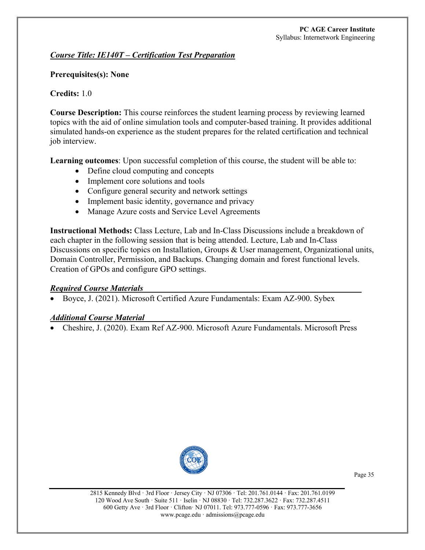## *Course Title: IE140T – Certification Test Preparation*

#### **Prerequisites(s): None**

## **Credits:** 1.0

**Course Description:** This course reinforces the student learning process by reviewing learned topics with the aid of online simulation tools and computer-based training. It provides additional simulated hands-on experience as the student prepares for the related certification and technical job interview.

**Learning outcomes**: Upon successful completion of this course, the student will be able to:

- Define cloud computing and concepts
- Implement core solutions and tools
- Configure general security and network settings
- Implement basic identity, governance and privacy
- Manage Azure costs and Service Level Agreements

**Instructional Methods:** Class Lecture, Lab and In-Class Discussions include a breakdown of each chapter in the following session that is being attended. Lecture, Lab and In-Class Discussions on specific topics on Installation, Groups & User management, Organizational units, Domain Controller, Permission, and Backups. Changing domain and forest functional levels. Creation of GPOs and configure GPO settings.

#### *Required Course Materials*

• Boyce, J. (2021). Microsoft Certified Azure Fundamentals: Exam AZ-900. Sybex

#### *Additional Course Material*

• Cheshire, J. (2020). Exam Ref AZ-900. Microsoft Azure Fundamentals. Microsoft Press

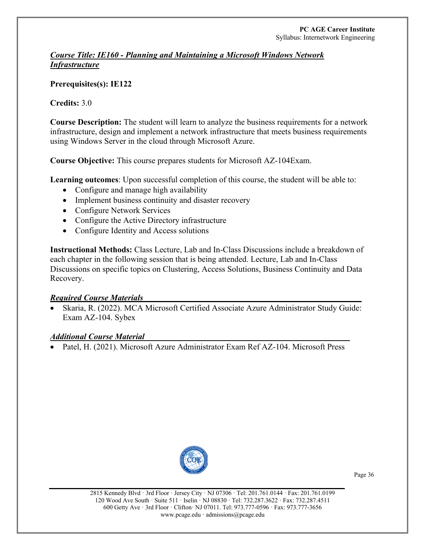#### *Course Title: IE160 - Planning and Maintaining a Microsoft Windows Network Infrastructure*

## **Prerequisites(s): IE122**

#### **Credits:** 3.0

**Course Description:** The student will learn to analyze the business requirements for a network infrastructure, design and implement a network infrastructure that meets business requirements using Windows Server in the cloud through Microsoft Azure.

**Course Objective:** This course prepares students for Microsoft AZ-104Exam.

**Learning outcomes**: Upon successful completion of this course, the student will be able to:

- Configure and manage high availability
- Implement business continuity and disaster recovery
- Configure Network Services
- Configure the Active Directory infrastructure
- Configure Identity and Access solutions

**Instructional Methods:** Class Lecture, Lab and In-Class Discussions include a breakdown of each chapter in the following session that is being attended. Lecture, Lab and In-Class Discussions on specific topics on Clustering, Access Solutions, Business Continuity and Data Recovery.

#### *Required Course Materials*

• Skaria, R. (2022). MCA Microsoft Certified Associate Azure Administrator Study Guide: Exam AZ-104. Sybex

#### *Additional Course Material*

• Patel, H. (2021). Microsoft Azure Administrator Exam Ref AZ-104. Microsoft Press

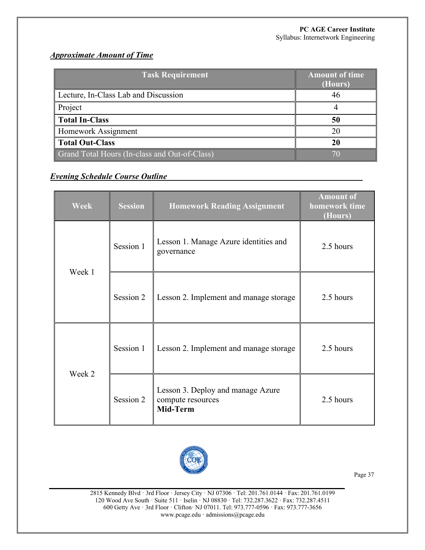# *Approximate Amount of Time*

| <b>Task Requirement</b>                       | <b>Amount of time</b><br>(Hours) |
|-----------------------------------------------|----------------------------------|
| Lecture, In-Class Lab and Discussion          | 46                               |
| Project                                       |                                  |
| <b>Total In-Class</b>                         | 50                               |
| Homework Assignment                           | 20                               |
| <b>Total Out-Class</b>                        | 20                               |
| Grand Total Hours (In-class and Out-of-Class) |                                  |

## *Evening Schedule Course Outline*

| <b>Week</b> | <b>Session</b> | <b>Homework Reading Assignment</b>                                 | <b>Amount of</b><br>homework time<br>(Hours) |
|-------------|----------------|--------------------------------------------------------------------|----------------------------------------------|
| Week 1      | Session 1      | Lesson 1. Manage Azure identities and<br>governance                | 2.5 hours                                    |
|             | Session 2      | Lesson 2. Implement and manage storage                             | 2.5 hours                                    |
|             | Session 1      | Lesson 2. Implement and manage storage                             | 2.5 hours                                    |
| Week 2      | Session 2      | Lesson 3. Deploy and manage Azure<br>compute resources<br>Mid-Term | 2.5 hours                                    |



Page 37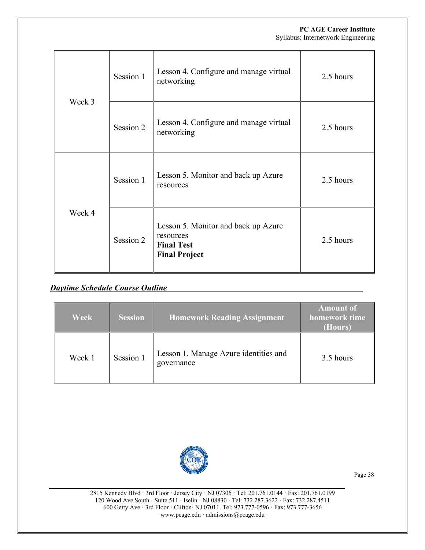| Week 3 | Session 1 | Lesson 4. Configure and manage virtual<br>networking                                          | 2.5 hours |
|--------|-----------|-----------------------------------------------------------------------------------------------|-----------|
|        | Session 2 | Lesson 4. Configure and manage virtual<br>networking                                          | 2.5 hours |
| Week 4 | Session 1 | Lesson 5. Monitor and back up Azure<br>resources                                              | 2.5 hours |
|        | Session 2 | Lesson 5. Monitor and back up Azure<br>resources<br><b>Final Test</b><br><b>Final Project</b> | 2.5 hours |

# *Daytime Schedule Course Outline*

| <b>Week</b> | <b>Session</b> | <b>Homework Reading Assignment</b>                  | <b>Amount of</b><br>homework time<br>(Hours) |
|-------------|----------------|-----------------------------------------------------|----------------------------------------------|
| Week 1      | Session 1      | Lesson 1. Manage Azure identities and<br>governance | 3.5 hours                                    |



Page 38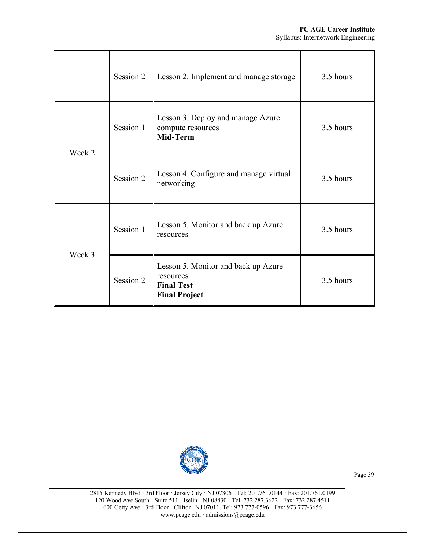|        | Session 2 | Lesson 2. Implement and manage storage                                                        | 3.5 hours |
|--------|-----------|-----------------------------------------------------------------------------------------------|-----------|
| Week 2 | Session 1 | Lesson 3. Deploy and manage Azure<br>compute resources<br>Mid-Term                            | 3.5 hours |
|        | Session 2 | Lesson 4. Configure and manage virtual<br>networking                                          | 3.5 hours |
| Week 3 | Session 1 | Lesson 5. Monitor and back up Azure<br>resources                                              | 3.5 hours |
|        | Session 2 | Lesson 5. Monitor and back up Azure<br>resources<br><b>Final Test</b><br><b>Final Project</b> | 3.5 hours |



Page 39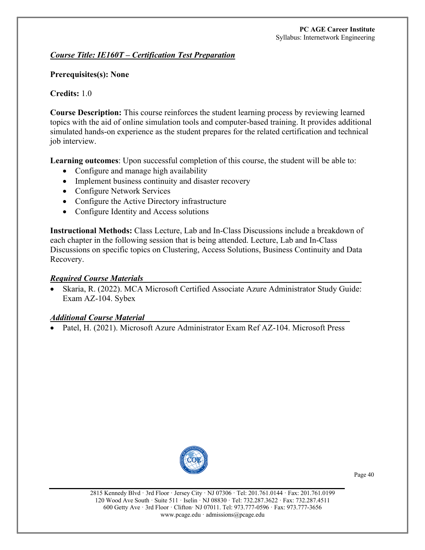## *Course Title: IE160T – Certification Test Preparation*

#### **Prerequisites(s): None**

## **Credits:** 1.0

**Course Description:** This course reinforces the student learning process by reviewing learned topics with the aid of online simulation tools and computer-based training. It provides additional simulated hands-on experience as the student prepares for the related certification and technical job interview.

**Learning outcomes**: Upon successful completion of this course, the student will be able to:

- Configure and manage high availability
- Implement business continuity and disaster recovery
- Configure Network Services
- Configure the Active Directory infrastructure
- Configure Identity and Access solutions

**Instructional Methods:** Class Lecture, Lab and In-Class Discussions include a breakdown of each chapter in the following session that is being attended. Lecture, Lab and In-Class Discussions on specific topics on Clustering, Access Solutions, Business Continuity and Data Recovery.

#### *Required Course Materials*

• Skaria, R. (2022). MCA Microsoft Certified Associate Azure Administrator Study Guide: Exam AZ-104. Sybex

#### *Additional Course Material*

• Patel, H. (2021). Microsoft Azure Administrator Exam Ref AZ-104. Microsoft Press

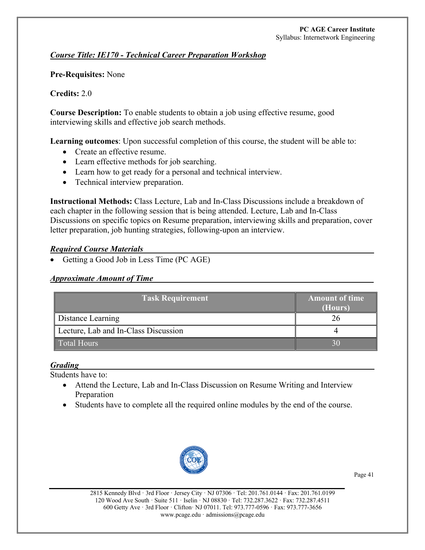*Course Title: IE170 - Technical Career Preparation Workshop*

**Pre-Requisites:** None

## **Credits:** 2.0

**Course Description:** To enable students to obtain a job using effective resume, good interviewing skills and effective job search methods.

**Learning outcomes**: Upon successful completion of this course, the student will be able to:

- Create an effective resume.
- Learn effective methods for job searching.
- Learn how to get ready for a personal and technical interview.
- Technical interview preparation.

**Instructional Methods:** Class Lecture, Lab and In-Class Discussions include a breakdown of each chapter in the following session that is being attended. Lecture, Lab and In-Class Discussions on specific topics on Resume preparation, interviewing skills and preparation, cover letter preparation, job hunting strategies, following-upon an interview.

## *Required Course Materials*

• Getting a Good Job in Less Time (PC AGE)

## *Approximate Amount of Time*

| <b>Task Requirement</b>              | <b>Amount of time</b><br>(Hours) |
|--------------------------------------|----------------------------------|
| Distance Learning                    | 1h                               |
| Lecture, Lab and In-Class Discussion |                                  |
| Total Hours                          |                                  |

# *Grading*

Students have to:

- Attend the Lecture, Lab and In-Class Discussion on Resume Writing and Interview Preparation
- Students have to complete all the required online modules by the end of the course.



Page 41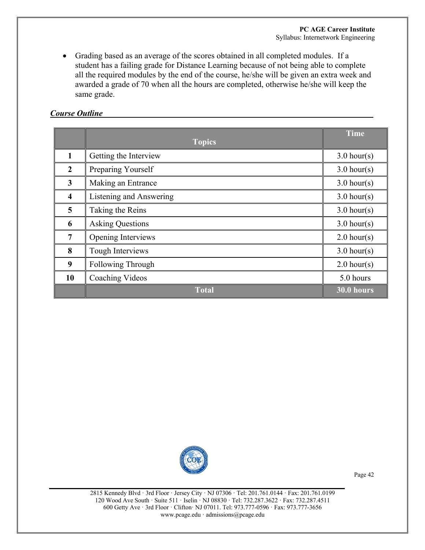• Grading based as an average of the scores obtained in all completed modules. If a student has a failing grade for Distance Learning because of not being able to complete all the required modules by the end of the course, he/she will be given an extra week and awarded a grade of 70 when all the hours are completed, otherwise he/she will keep the same grade.

## *Course Outline*

|                         | <b>Topics</b>           | <b>Time</b>   |
|-------------------------|-------------------------|---------------|
|                         | Getting the Interview   | $3.0$ hour(s) |
| $\mathbf{2}$            | Preparing Yourself      | $3.0$ hour(s) |
| 3                       | Making an Entrance      | $3.0$ hour(s) |
| $\overline{\mathbf{4}}$ | Listening and Answering | $3.0$ hour(s) |
| $\overline{\mathbf{5}}$ | Taking the Reins        | $3.0$ hour(s) |
| 6                       | <b>Asking Questions</b> | $3.0$ hour(s) |
| $\overline{7}$          | Opening Interviews      | $2.0$ hour(s) |
| 8                       | Tough Interviews        | $3.0$ hour(s) |
| 9                       | Following Through       | $2.0$ hour(s) |
| 10                      | Coaching Videos         | 5.0 hours     |
|                         | <b>Total</b>            | 30.0 hours    |



Page 42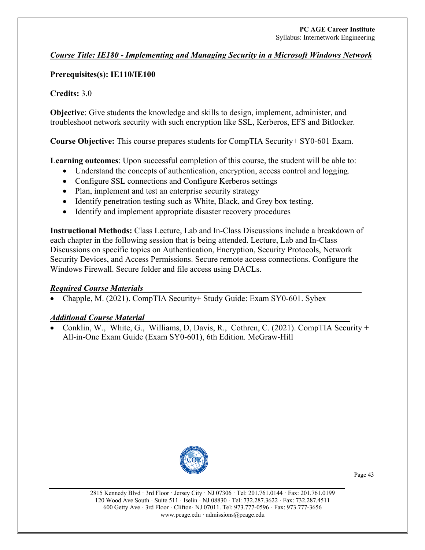#### *Course Title: IE180 - Implementing and Managing Security in a Microsoft Windows Network*

## **Prerequisites(s): IE110/IE100**

#### **Credits:** 3.0

**Objective**: Give students the knowledge and skills to design, implement, administer, and troubleshoot network security with such encryption like SSL, Kerberos, EFS and Bitlocker.

**Course Objective:** This course prepares students for CompTIA Security+ SY0-601 Exam.

**Learning outcomes**: Upon successful completion of this course, the student will be able to:

- Understand the concepts of authentication, encryption, access control and logging.
- Configure SSL connections and Configure Kerberos settings
- Plan, implement and test an enterprise security strategy
- Identify penetration testing such as White, Black, and Grey box testing.
- Identify and implement appropriate disaster recovery procedures

**Instructional Methods:** Class Lecture, Lab and In-Class Discussions include a breakdown of each chapter in the following session that is being attended. Lecture, Lab and In-Class Discussions on specific topics on Authentication, Encryption, Security Protocols, Network Security Devices, and Access Permissions. Secure remote access connections. Configure the Windows Firewall. Secure folder and file access using DACLs.

#### *Required Course Materials*

• Chapple, M. (2021). CompTIA Security+ Study Guide: Exam SY0-601. Sybex

#### *Additional Course Material*

• Conklin, W., White, G., Williams, D, Davis, R., Cothren, C. (2021). CompTIA Security + All-in-One Exam Guide (Exam SY0-601), 6th Edition. McGraw-Hill

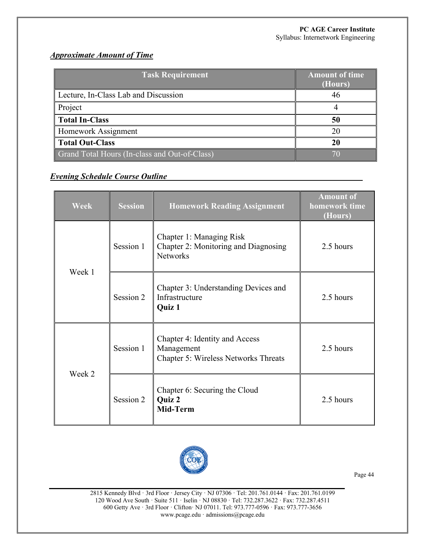# *Approximate Amount of Time*

| <b>Task Requirement</b>                       | <b>Amount of time</b><br>(Hours) |
|-----------------------------------------------|----------------------------------|
| Lecture, In-Class Lab and Discussion          | 46                               |
| Project                                       |                                  |
| <b>Total In-Class</b>                         | 50                               |
| Homework Assignment                           | 20                               |
| <b>Total Out-Class</b>                        | 20                               |
| Grand Total Hours (In-class and Out-of-Class) |                                  |

## *Evening Schedule Course Outline*

| <b>Week</b>                      | <b>Session</b> | <b>Homework Reading Assignment</b>                                                          | <b>Amount of</b><br>homework time<br>(Hours) |
|----------------------------------|----------------|---------------------------------------------------------------------------------------------|----------------------------------------------|
| Session 1<br>Week 1<br>Session 2 |                | Chapter 1: Managing Risk<br>Chapter 2: Monitoring and Diagnosing<br><b>Networks</b>         | 2.5 hours                                    |
|                                  |                | Chapter 3: Understanding Devices and<br>Infrastructure<br>Quiz 1                            | 2.5 hours                                    |
| Week 2                           | Session 1      | Chapter 4: Identity and Access<br>Management<br><b>Chapter 5: Wireless Networks Threats</b> | 2.5 hours                                    |
|                                  | Session 2      | Chapter 6: Securing the Cloud<br>Quiz 2<br>Mid-Term                                         | 2.5 hours                                    |



Page 44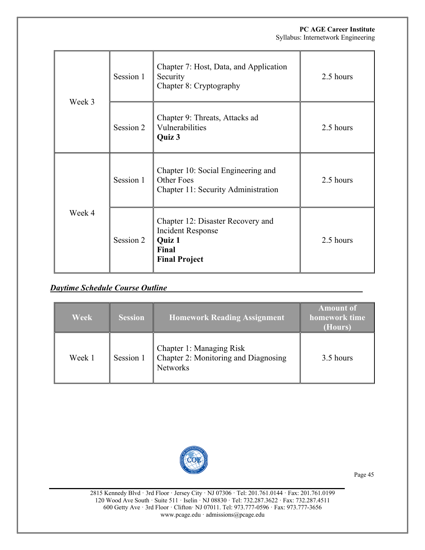| Week 3 | Session 1 | Chapter 7: Host, Data, and Application<br>Security<br>Chapter 8: Cryptography                            | 2.5 hours |
|--------|-----------|----------------------------------------------------------------------------------------------------------|-----------|
|        | Session 2 | Chapter 9: Threats, Attacks ad<br>Vulnerabilities<br>Quiz 3                                              | 2.5 hours |
| Week 4 | Session 1 | Chapter 10: Social Engineering and<br><b>Other Foes</b><br>Chapter 11: Security Administration           | 2.5 hours |
|        | Session 2 | Chapter 12: Disaster Recovery and<br><b>Incident Response</b><br>Quiz 1<br>Final<br><b>Final Project</b> | 2.5 hours |

# *Daytime Schedule Course Outline*

| Week   | <b>Session</b> | <b>Homework Reading Assignment</b>                                                  | <b>Amount of</b><br>homework time<br>(Hours) |
|--------|----------------|-------------------------------------------------------------------------------------|----------------------------------------------|
| Week 1 | Session 1      | Chapter 1: Managing Risk<br>Chapter 2: Monitoring and Diagnosing<br><b>Networks</b> | 3.5 hours                                    |



Page 45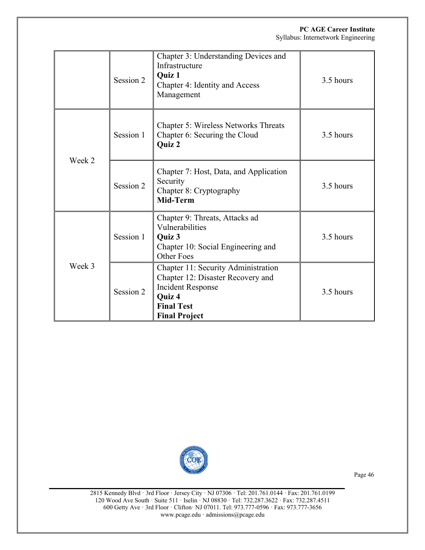|        | Session 2 | Chapter 3: Understanding Devices and<br>Infrastructure<br><b>Ouiz 1</b><br>Chapter 4: Identity and Access<br>Management                                     | 3.5 hours |
|--------|-----------|-------------------------------------------------------------------------------------------------------------------------------------------------------------|-----------|
| Week 2 | Session 1 | Chapter 5: Wireless Networks Threats<br>Chapter 6: Securing the Cloud<br>Quiz 2                                                                             | 3.5 hours |
|        | Session 2 | Chapter 7: Host, Data, and Application<br>Security<br>Chapter 8: Cryptography<br>Mid-Term                                                                   | 3.5 hours |
| Week 3 | Session 1 | Chapter 9: Threats, Attacks ad<br>Vulnerabilities<br>Quiz 3<br>Chapter 10: Social Engineering and<br><b>Other Foes</b>                                      | 3.5 hours |
|        | Session 2 | Chapter 11: Security Administration<br>Chapter 12: Disaster Recovery and<br><b>Incident Response</b><br>Quiz 4<br><b>Final Test</b><br><b>Final Project</b> | 3.5 hours |



Page 46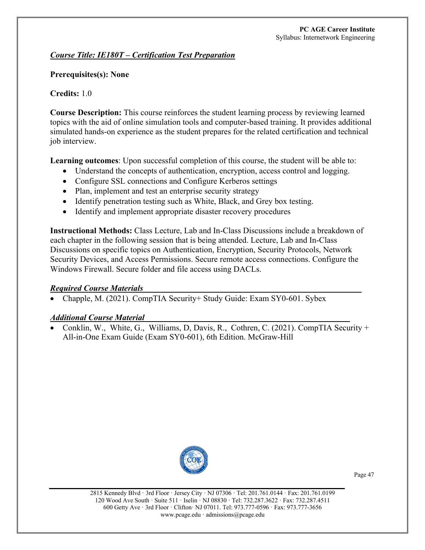## *Course Title: IE180T – Certification Test Preparation*

#### **Prerequisites(s): None**

## **Credits:** 1.0

**Course Description:** This course reinforces the student learning process by reviewing learned topics with the aid of online simulation tools and computer-based training. It provides additional simulated hands-on experience as the student prepares for the related certification and technical job interview.

**Learning outcomes**: Upon successful completion of this course, the student will be able to:

- Understand the concepts of authentication, encryption, access control and logging.
- Configure SSL connections and Configure Kerberos settings
- Plan, implement and test an enterprise security strategy
- Identify penetration testing such as White, Black, and Grey box testing.
- Identify and implement appropriate disaster recovery procedures

**Instructional Methods:** Class Lecture, Lab and In-Class Discussions include a breakdown of each chapter in the following session that is being attended. Lecture, Lab and In-Class Discussions on specific topics on Authentication, Encryption, Security Protocols, Network Security Devices, and Access Permissions. Secure remote access connections. Configure the Windows Firewall. Secure folder and file access using DACLs.

# *Required Course Materials*

• Chapple, M. (2021). CompTIA Security+ Study Guide: Exam SY0-601. Sybex

# *Additional Course Material*

• Conklin, W., White, G., Williams, D, Davis, R., Cothren, C. (2021). CompTIA Security + All-in-One Exam Guide (Exam SY0-601), 6th Edition. McGraw-Hill

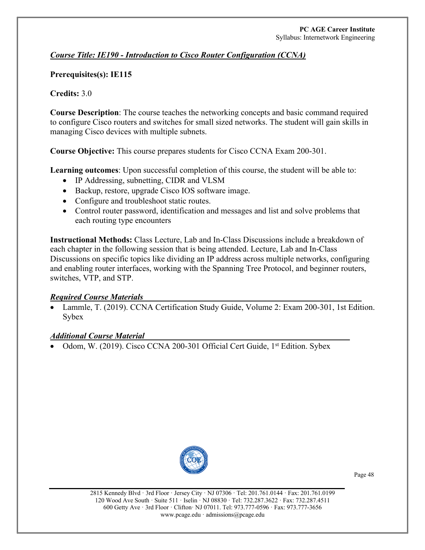## *Course Title: IE190 - Introduction to Cisco Router Configuration (CCNA)*

## **Prerequisites(s): IE115**

#### **Credits:** 3.0

**Course Description**: The course teaches the networking concepts and basic command required to configure Cisco routers and switches for small sized networks. The student will gain skills in managing Cisco devices with multiple subnets.

**Course Objective:** This course prepares students for Cisco CCNA Exam 200-301.

**Learning outcomes**: Upon successful completion of this course, the student will be able to:

- IP Addressing, subnetting, CIDR and VLSM
- Backup, restore, upgrade Cisco IOS software image.
- Configure and troubleshoot static routes.
- Control router password, identification and messages and list and solve problems that each routing type encounters

**Instructional Methods:** Class Lecture, Lab and In-Class Discussions include a breakdown of each chapter in the following session that is being attended. Lecture, Lab and In-Class Discussions on specific topics like dividing an IP address across multiple networks, configuring and enabling router interfaces, working with the Spanning Tree Protocol, and beginner routers, switches, VTP, and STP.

#### *Required Course Materials*

• Lammle, T. (2019). CCNA Certification Study Guide, Volume 2: Exam 200-301, 1st Edition. Sybex

#### *Additional Course Material*

• Odom, W. (2019). Cisco CCNA 200-301 Official Cert Guide, 1<sup>st</sup> Edition. Sybex

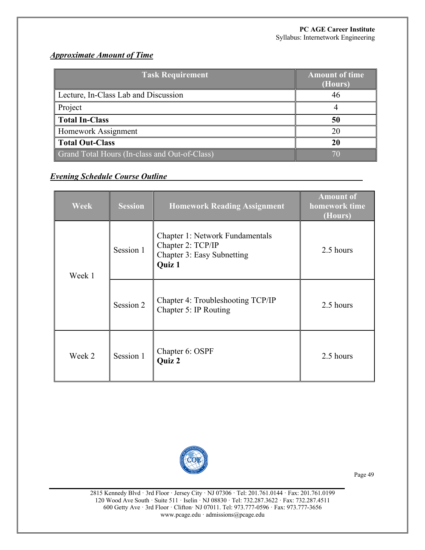# *Approximate Amount of Time*

| <b>Task Requirement</b>                       | <b>Amount of time</b><br>(Hours) |
|-----------------------------------------------|----------------------------------|
| Lecture, In-Class Lab and Discussion          | 46                               |
| Project                                       |                                  |
| <b>Total In-Class</b>                         | 50                               |
| Homework Assignment                           | 20                               |
| <b>Total Out-Class</b>                        | 20                               |
| Grand Total Hours (In-class and Out-of-Class) |                                  |

## *Evening Schedule Course Outline*

| <b>Week</b> | <b>Session</b> | <b>Homework Reading Assignment</b>                                                                  | <b>Amount of</b><br>homework time<br>(Hours) |
|-------------|----------------|-----------------------------------------------------------------------------------------------------|----------------------------------------------|
| Week 1      | Session 1      | <b>Chapter 1: Network Fundamentals</b><br>Chapter 2: TCP/IP<br>Chapter 3: Easy Subnetting<br>Quiz 1 | 2.5 hours                                    |
|             | Session 2      | Chapter 4: Troubleshooting TCP/IP<br>Chapter 5: IP Routing                                          | 2.5 hours                                    |
| Week 2      | Session 1      | Chapter 6: OSPF<br><b>Quiz 2</b>                                                                    | 2.5 hours                                    |



Page 49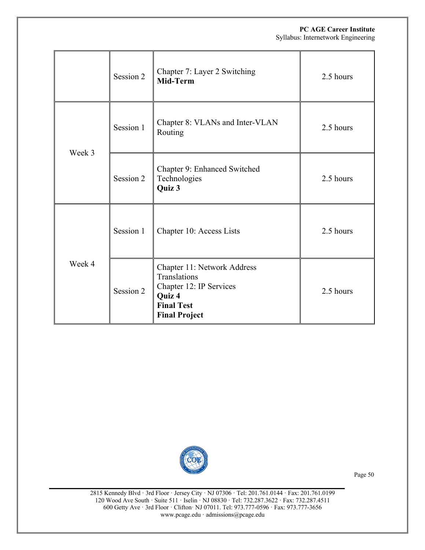|        | Session 2 | Chapter 7: Layer 2 Switching<br>Mid-Term                                                                                      | 2.5 hours |
|--------|-----------|-------------------------------------------------------------------------------------------------------------------------------|-----------|
| Week 3 | Session 1 | Chapter 8: VLANs and Inter-VLAN<br>Routing                                                                                    | 2.5 hours |
|        | Session 2 | Chapter 9: Enhanced Switched<br>Technologies<br>Quiz 3                                                                        | 2.5 hours |
| Week 4 | Session 1 | Chapter 10: Access Lists                                                                                                      | 2.5 hours |
|        | Session 2 | Chapter 11: Network Address<br>Translations<br>Chapter 12: IP Services<br>Quiz 4<br><b>Final Test</b><br><b>Final Project</b> | 2.5 hours |



Page 50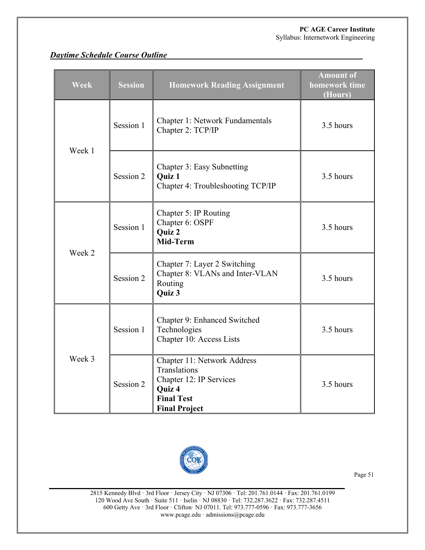# *Daytime Schedule Course Outline*

| <b>Week</b> | <b>Session</b> | <b>Homework Reading Assignment</b>                                                                                            | <b>Amount of</b><br>homework time<br>$(\overline{\text{Hours}})$ |
|-------------|----------------|-------------------------------------------------------------------------------------------------------------------------------|------------------------------------------------------------------|
| Week 1      | Session 1      | Chapter 1: Network Fundamentals<br>Chapter 2: TCP/IP                                                                          | 3.5 hours                                                        |
|             | Session 2      | <b>Chapter 3: Easy Subnetting</b><br>Quiz 1<br>Chapter 4: Troubleshooting TCP/IP                                              | 3.5 hours                                                        |
| Week 2      | Session 1      | Chapter 5: IP Routing<br>Chapter 6: OSPF<br>Quiz 2<br>Mid-Term                                                                | 3.5 hours                                                        |
|             | Session 2      | Chapter 7: Layer 2 Switching<br>Chapter 8: VLANs and Inter-VLAN<br>Routing<br>Quiz 3                                          | 3.5 hours                                                        |
| Week 3      | Session 1      | Chapter 9: Enhanced Switched<br>Technologies<br>Chapter 10: Access Lists                                                      | 3.5 hours                                                        |
|             | Session 2      | Chapter 11: Network Address<br>Translations<br>Chapter 12: IP Services<br>Quiz 4<br><b>Final Test</b><br><b>Final Project</b> | 3.5 hours                                                        |



Page 51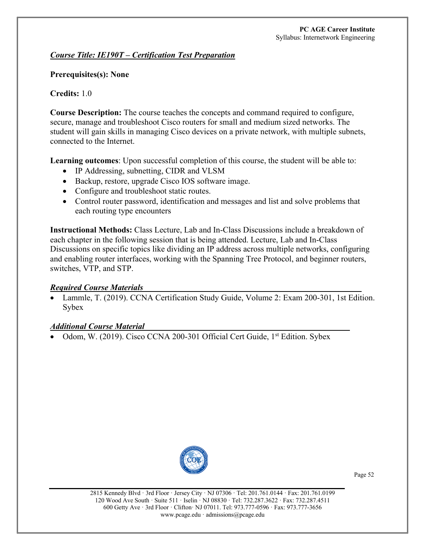#### *Course Title: IE190T – Certification Test Preparation*

#### **Prerequisites(s): None**

#### **Credits:** 1.0

**Course Description:** The course teaches the concepts and command required to configure, secure, manage and troubleshoot Cisco routers for small and medium sized networks. The student will gain skills in managing Cisco devices on a private network, with multiple subnets, connected to the Internet.

**Learning outcomes**: Upon successful completion of this course, the student will be able to:

- IP Addressing, subnetting, CIDR and VLSM
- Backup, restore, upgrade Cisco IOS software image.
- Configure and troubleshoot static routes.
- Control router password, identification and messages and list and solve problems that each routing type encounters

**Instructional Methods:** Class Lecture, Lab and In-Class Discussions include a breakdown of each chapter in the following session that is being attended. Lecture, Lab and In-Class Discussions on specific topics like dividing an IP address across multiple networks, configuring and enabling router interfaces, working with the Spanning Tree Protocol, and beginner routers, switches, VTP, and STP.

#### *Required Course Materials*

• Lammle, T. (2019). CCNA Certification Study Guide, Volume 2: Exam 200-301, 1st Edition. **Sybex** 

#### *Additional Course Material*

• Odom, W. (2019). Cisco CCNA 200-301 Official Cert Guide, 1<sup>st</sup> Edition. Sybex



<sup>2815</sup> Kennedy Blvd · 3rd Floor · Jersey City · NJ 07306 · Tel: 201.761.0144 · Fax: 201.761.0199 120 Wood Ave South · Suite 511 · Iselin · NJ 08830 · Tel: 732.287.3622 · Fax: 732.287.4511 600 Getty Ave · 3rd Floor · Clifton· NJ 07011. Tel: 973.777-0596 · Fax: 973.777-3656 www.pcage.edu · admissions@pcage.edu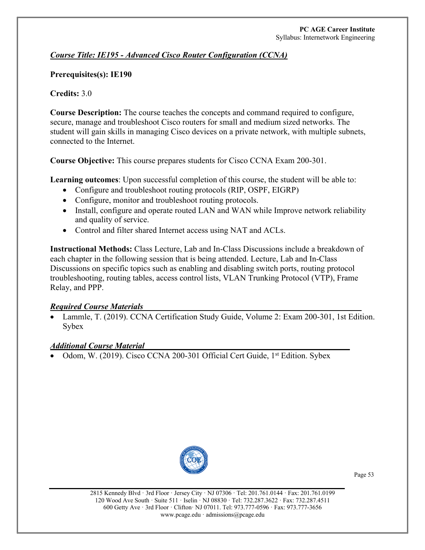## *Course Title: IE195 - Advanced Cisco Router Configuration (CCNA)*

## **Prerequisites(s): IE190**

#### **Credits:** 3.0

**Course Description:** The course teaches the concepts and command required to configure, secure, manage and troubleshoot Cisco routers for small and medium sized networks. The student will gain skills in managing Cisco devices on a private network, with multiple subnets, connected to the Internet.

**Course Objective:** This course prepares students for Cisco CCNA Exam 200-301.

**Learning outcomes**: Upon successful completion of this course, the student will be able to:

- Configure and troubleshoot routing protocols (RIP, OSPF, EIGRP)
- Configure, monitor and troubleshoot routing protocols.
- Install, configure and operate routed LAN and WAN while Improve network reliability and quality of service.
- Control and filter shared Internet access using NAT and ACLs.

**Instructional Methods:** Class Lecture, Lab and In-Class Discussions include a breakdown of each chapter in the following session that is being attended. Lecture, Lab and In-Class Discussions on specific topics such as enabling and disabling switch ports, routing protocol troubleshooting, routing tables, access control lists, VLAN Trunking Protocol (VTP), Frame Relay, and PPP.

#### *Required Course Materials*

• Lammle, T. (2019). CCNA Certification Study Guide, Volume 2: Exam 200-301, 1st Edition. Sybex

# *Additional Course Material*

• Odom, W. (2019). Cisco CCNA 200-301 Official Cert Guide, 1<sup>st</sup> Edition. Sybex

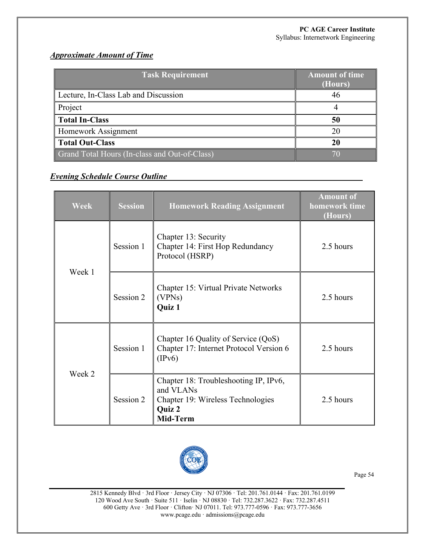# *Approximate Amount of Time*

| <b>Task Requirement</b>                       | <b>Amount of time</b><br>(Hours) |
|-----------------------------------------------|----------------------------------|
| Lecture, In-Class Lab and Discussion          | 46                               |
| Project                                       |                                  |
| <b>Total In-Class</b>                         | 50                               |
| Homework Assignment                           |                                  |
| <b>Total Out-Class</b>                        | 20                               |
| Grand Total Hours (In-class and Out-of-Class) |                                  |

## *Evening Schedule Course Outline*

| <b>Week</b> | <b>Session</b> | <b>Homework Reading Assignment</b>                                                                            | <b>Amount of</b><br>homework time<br>(Hours) |
|-------------|----------------|---------------------------------------------------------------------------------------------------------------|----------------------------------------------|
| Week 1      | Session 1      | Chapter 13: Security<br>Chapter 14: First Hop Redundancy<br>Protocol (HSRP)                                   | 2.5 hours                                    |
|             | Session 2      | Chapter 15: Virtual Private Networks<br>(VPNs)<br>Quiz 1                                                      | 2.5 hours                                    |
| Week 2      | Session 1      | Chapter 16 Quality of Service (QoS)<br>Chapter 17: Internet Protocol Version 6<br>(IPv6)                      | 2.5 hours                                    |
|             | Session 2      | Chapter 18: Troubleshooting IP, IPv6,<br>and VLANs<br>Chapter 19: Wireless Technologies<br>Quiz 2<br>Mid-Term | 2.5 hours                                    |



Page 54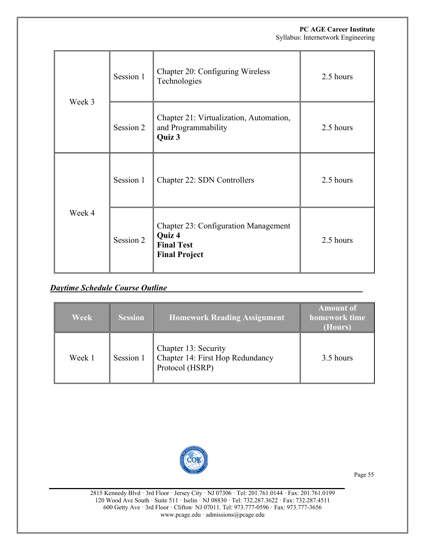| Week 3 | Session 1 | Chapter 20: Configuring Wireless<br>Technologies                                                          | 2.5 hours |
|--------|-----------|-----------------------------------------------------------------------------------------------------------|-----------|
|        | Session 2 | Chapter 21: Virtualization, Automation,<br>and Programmability<br>Quiz 3                                  | 2.5 hours |
| Week 4 | Session 1 | Chapter 22: SDN Controllers                                                                               | 2.5 hours |
|        | Session 2 | <b>Chapter 23: Configuration Management</b><br><b>Quiz 4</b><br><b>Final Test</b><br><b>Final Project</b> | 2.5 hours |

# *Daytime Schedule Course Outline*

| Week   | <b>Session</b> | <b>Homework Reading Assignment</b>                                          | <b>Amount of</b><br>homework time<br>(Hours) |
|--------|----------------|-----------------------------------------------------------------------------|----------------------------------------------|
| Week 1 | Session 1      | Chapter 13: Security<br>Chapter 14: First Hop Redundancy<br>Protocol (HSRP) | 3.5 hours                                    |



Page 55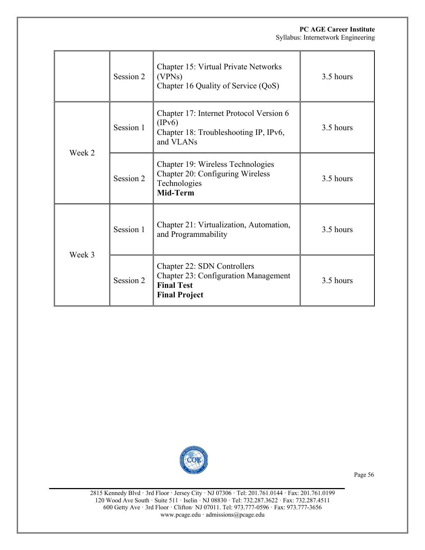|        | Session 2 | Chapter 15: Virtual Private Networks<br>(VPNs)<br>Chapter 16 Quality of Service (QoS)                                   | 3.5 hours |
|--------|-----------|-------------------------------------------------------------------------------------------------------------------------|-----------|
| Week 2 | Session 1 | Chapter 17: Internet Protocol Version 6<br>(IPv6)<br>Chapter 18: Troubleshooting IP, IPv6,<br>and VLANs                 | 3.5 hours |
|        | Session 2 | Chapter 19: Wireless Technologies<br>Chapter 20: Configuring Wireless<br>Technologies<br>Mid-Term                       | 3.5 hours |
| Week 3 | Session 1 | Chapter 21: Virtualization, Automation,<br>and Programmability                                                          | 3.5 hours |
|        | Session 2 | Chapter 22: SDN Controllers<br><b>Chapter 23: Configuration Management</b><br><b>Final Test</b><br><b>Final Project</b> | 3.5 hours |



Page 56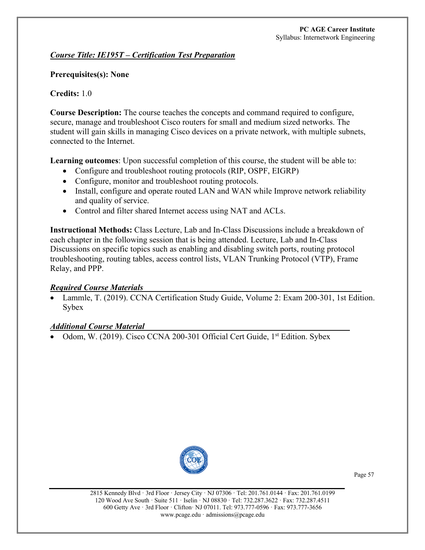#### *Course Title: IE195T – Certification Test Preparation*

#### **Prerequisites(s): None**

#### **Credits:** 1.0

**Course Description:** The course teaches the concepts and command required to configure, secure, manage and troubleshoot Cisco routers for small and medium sized networks. The student will gain skills in managing Cisco devices on a private network, with multiple subnets, connected to the Internet.

**Learning outcomes**: Upon successful completion of this course, the student will be able to:

- Configure and troubleshoot routing protocols (RIP, OSPF, EIGRP)
- Configure, monitor and troubleshoot routing protocols.
- Install, configure and operate routed LAN and WAN while Improve network reliability and quality of service.
- Control and filter shared Internet access using NAT and ACLs.

**Instructional Methods:** Class Lecture, Lab and In-Class Discussions include a breakdown of each chapter in the following session that is being attended. Lecture, Lab and In-Class Discussions on specific topics such as enabling and disabling switch ports, routing protocol troubleshooting, routing tables, access control lists, VLAN Trunking Protocol (VTP), Frame Relay, and PPP.

#### *Required Course Materials*

• Lammle, T. (2019). CCNA Certification Study Guide, Volume 2: Exam 200-301, 1st Edition. **Sybex** 

#### *Additional Course Material*

• Odom, W. (2019). Cisco CCNA 200-301 Official Cert Guide, 1<sup>st</sup> Edition. Sybex



<sup>2815</sup> Kennedy Blvd · 3rd Floor · Jersey City · NJ 07306 · Tel: 201.761.0144 · Fax: 201.761.0199 120 Wood Ave South · Suite 511 · Iselin · NJ 08830 · Tel: 732.287.3622 · Fax: 732.287.4511 600 Getty Ave · 3rd Floor · Clifton· NJ 07011. Tel: 973.777-0596 · Fax: 973.777-3656 www.pcage.edu · admissions@pcage.edu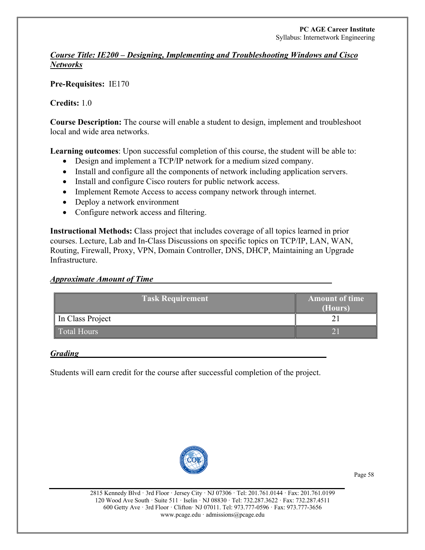## *Course Title: IE200 – Designing, Implementing and Troubleshooting Windows and Cisco Networks*

**Pre-Requisites:** IE170

## **Credits:** 1.0

**Course Description:** The course will enable a student to design, implement and troubleshoot local and wide area networks.

**Learning outcomes**: Upon successful completion of this course, the student will be able to:

- Design and implement a TCP/IP network for a medium sized company.
- Install and configure all the components of network including application servers.
- Install and configure Cisco routers for public network access.
- Implement Remote Access to access company network through internet.
- Deploy a network environment
- Configure network access and filtering.

**Instructional Methods:** Class project that includes coverage of all topics learned in prior courses. Lecture, Lab and In-Class Discussions on specific topics on TCP/IP, LAN, WAN, Routing, Firewall, Proxy, VPN, Domain Controller, DNS, DHCP, Maintaining an Upgrade Infrastructure.

#### *Approximate Amount of Time*

| <b>Task Requirement</b> | Amount of time<br>(Hours) |
|-------------------------|---------------------------|
| In Class Project        |                           |
| <b>Total Hours</b>      |                           |

#### *Grading*

Students will earn credit for the course after successful completion of the project.



Page 58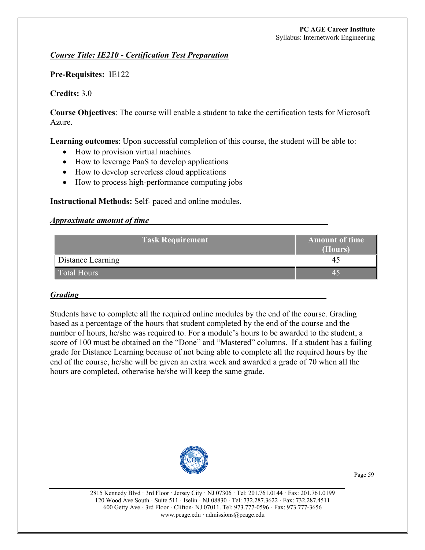#### *Course Title: IE210 - Certification Test Preparation*

**Pre-Requisites:** IE122

#### **Credits:** 3.0

**Course Objectives**: The course will enable a student to take the certification tests for Microsoft Azure.

**Learning outcomes**: Upon successful completion of this course, the student will be able to:

- How to provision virtual machines
- How to leverage PaaS to develop applications
- How to develop serverless cloud applications
- How to process high-performance computing jobs

**Instructional Methods:** Self- paced and online modules.

#### *Approximate amount of time*

| <b>Task Requirement</b> | <b>Amount of time</b><br>(Hours) |
|-------------------------|----------------------------------|
| Distance Learning       |                                  |
| <b>Total Hours</b>      |                                  |

#### *Grading*

Students have to complete all the required online modules by the end of the course. Grading based as a percentage of the hours that student completed by the end of the course and the number of hours, he/she was required to. For a module's hours to be awarded to the student, a score of 100 must be obtained on the "Done" and "Mastered" columns. If a student has a failing grade for Distance Learning because of not being able to complete all the required hours by the end of the course, he/she will be given an extra week and awarded a grade of 70 when all the hours are completed, otherwise he/she will keep the same grade.



Page 59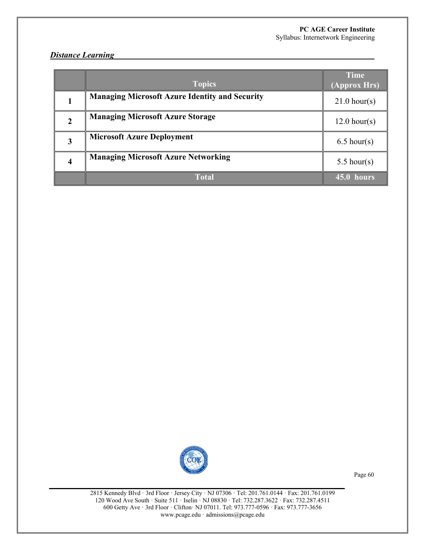## *Distance Learning*

|   | <b>Topics</b>                                         | <b>Time</b><br>(Approx Hrs) |
|---|-------------------------------------------------------|-----------------------------|
|   | <b>Managing Microsoft Azure Identity and Security</b> | $21.0$ hour(s)              |
|   | <b>Managing Microsoft Azure Storage</b>               | $12.0$ hour(s)              |
| 3 | <b>Microsoft Azure Deployment</b>                     | $6.5$ hour(s)               |
| 4 | <b>Managing Microsoft Azure Networking</b>            | $5.5$ hour(s)               |
|   | Total                                                 | 45.0 hours                  |



Page 60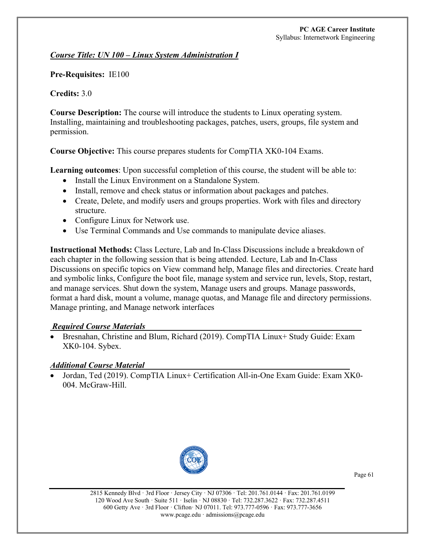#### *Course Title: UN 100 – Linux System Administration I*

#### **Pre-Requisites:** IE100

#### **Credits:** 3.0

**Course Description:** The course will introduce the students to Linux operating system. Installing, maintaining and troubleshooting packages, patches, users, groups, file system and permission.

**Course Objective:** This course prepares students for CompTIA XK0-104 Exams.

**Learning outcomes**: Upon successful completion of this course, the student will be able to:

- Install the Linux Environment on a Standalone System.
- Install, remove and check status or information about packages and patches.
- Create, Delete, and modify users and groups properties. Work with files and directory structure.
- Configure Linux for Network use.
- Use Terminal Commands and Use commands to manipulate device aliases.

**Instructional Methods:** Class Lecture, Lab and In-Class Discussions include a breakdown of each chapter in the following session that is being attended. Lecture, Lab and In-Class Discussions on specific topics on View command help, Manage files and directories. Create hard and symbolic links, Configure the boot file, manage system and service run, levels, Stop, restart, and manage services. Shut down the system, Manage users and groups. Manage passwords, format a hard disk, mount a volume, manage quotas, and Manage file and directory permissions. Manage printing, and Manage network interfaces

#### *Required Course Materials*

• Bresnahan, Christine and Blum, Richard (2019). CompTIA Linux+ Study Guide: Exam XK0-104. Sybex.

#### *Additional Course Material*

• Jordan, Ted (2019). CompTIA Linux+ Certification All-in-One Exam Guide: Exam XK0-004. McGraw-Hill.



Page 61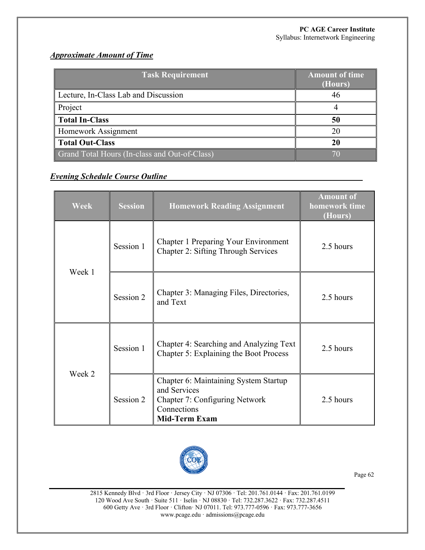# *Approximate Amount of Time*

| <b>Task Requirement</b>                       | <b>Amount of time</b><br>(Hours) |
|-----------------------------------------------|----------------------------------|
| Lecture, In-Class Lab and Discussion          | 46                               |
| Project                                       |                                  |
| <b>Total In-Class</b>                         | 50                               |
| Homework Assignment                           |                                  |
| <b>Total Out-Class</b>                        | 20                               |
| Grand Total Hours (In-class and Out-of-Class) |                                  |

## *Evening Schedule Course Outline*

| <b>Week</b> | <b>Session</b> | <b>Homework Reading Assignment</b>                                                                                             | <b>Amount of</b><br>homework time<br>(Hours) |
|-------------|----------------|--------------------------------------------------------------------------------------------------------------------------------|----------------------------------------------|
| Week 1      | Session 1      | Chapter 1 Preparing Your Environment<br><b>Chapter 2: Sifting Through Services</b>                                             | 2.5 hours                                    |
|             | Session 2      | Chapter 3: Managing Files, Directories,<br>and Text                                                                            | 2.5 hours                                    |
| Week 2      | Session 1      | Chapter 4: Searching and Analyzing Text<br>Chapter 5: Explaining the Boot Process                                              | 2.5 hours                                    |
|             | Session 2      | Chapter 6: Maintaining System Startup<br>and Services<br>Chapter 7: Configuring Network<br>Connections<br><b>Mid-Term Exam</b> | 2.5 hours                                    |



Page 62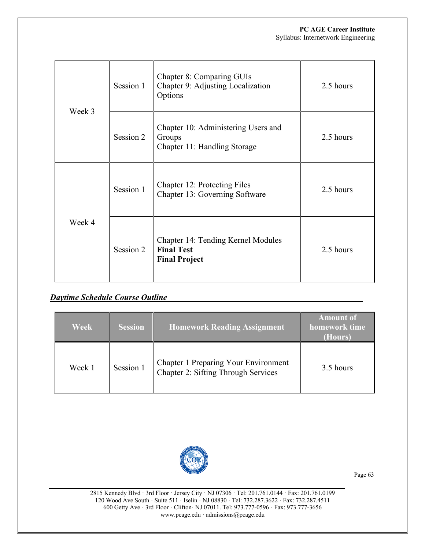| Week 3 | Session 1 | Chapter 8: Comparing GUIs<br>Chapter 9: Adjusting Localization<br>Options       | 2.5 hours |
|--------|-----------|---------------------------------------------------------------------------------|-----------|
|        | Session 2 | Chapter 10: Administering Users and<br>Groups<br>Chapter 11: Handling Storage   | 2.5 hours |
| Week 4 | Session 1 | Chapter 12: Protecting Files<br>Chapter 13: Governing Software                  | 2.5 hours |
|        | Session 2 | Chapter 14: Tending Kernel Modules<br><b>Final Test</b><br><b>Final Project</b> | 2.5 hours |

# *Daytime Schedule Course Outline*

| Week   | <b>Session</b> | <b>Homework Reading Assignment</b>                                          | <b>Amount of</b><br>homework time<br>(Hours) |
|--------|----------------|-----------------------------------------------------------------------------|----------------------------------------------|
| Week 1 | Session 1      | Chapter 1 Preparing Your Environment<br>Chapter 2: Sifting Through Services | 3.5 hours                                    |



Page 63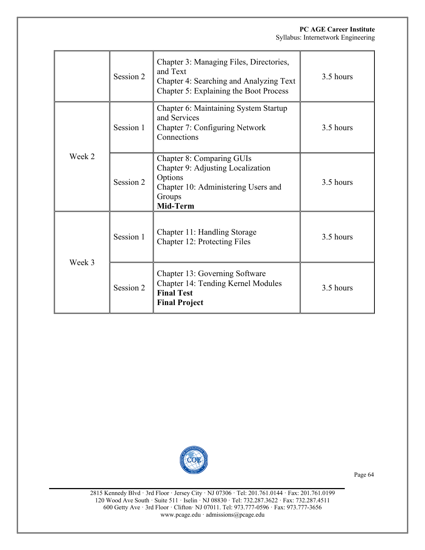|        | Session 2 | Chapter 3: Managing Files, Directories,<br>and Text<br>Chapter 4: Searching and Analyzing Text<br>Chapter 5: Explaining the Boot Process      | 3.5 hours |
|--------|-----------|-----------------------------------------------------------------------------------------------------------------------------------------------|-----------|
| Week 2 | Session 1 | Chapter 6: Maintaining System Startup<br>and Services<br><b>Chapter 7: Configuring Network</b><br>Connections                                 | 3.5 hours |
|        | Session 2 | <b>Chapter 8: Comparing GUIs</b><br>Chapter 9: Adjusting Localization<br>Options<br>Chapter 10: Administering Users and<br>Groups<br>Mid-Term | 3.5 hours |
| Week 3 | Session 1 | Chapter 11: Handling Storage<br>Chapter 12: Protecting Files                                                                                  | 3.5 hours |
|        | Session 2 | Chapter 13: Governing Software<br>Chapter 14: Tending Kernel Modules<br><b>Final Test</b><br><b>Final Project</b>                             | 3.5 hours |



Page 64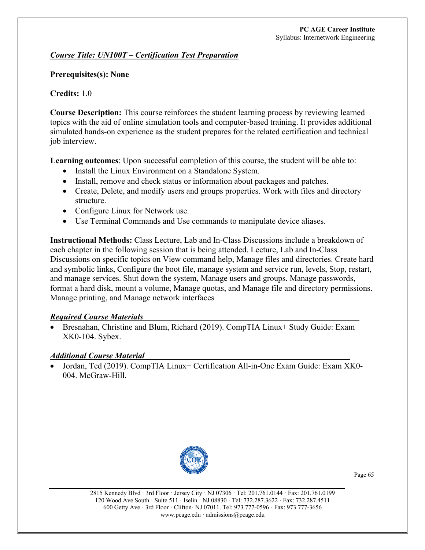## *Course Title: UN100T – Certification Test Preparation*

## **Prerequisites(s): None**

## **Credits:** 1.0

**Course Description:** This course reinforces the student learning process by reviewing learned topics with the aid of online simulation tools and computer-based training. It provides additional simulated hands-on experience as the student prepares for the related certification and technical job interview.

**Learning outcomes**: Upon successful completion of this course, the student will be able to:

- Install the Linux Environment on a Standalone System.
- Install, remove and check status or information about packages and patches.
- Create, Delete, and modify users and groups properties. Work with files and directory structure.
- Configure Linux for Network use.
- Use Terminal Commands and Use commands to manipulate device aliases.

**Instructional Methods:** Class Lecture, Lab and In-Class Discussions include a breakdown of each chapter in the following session that is being attended. Lecture, Lab and In-Class Discussions on specific topics on View command help, Manage files and directories. Create hard and symbolic links, Configure the boot file, manage system and service run, levels, Stop, restart, and manage services. Shut down the system, Manage users and groups. Manage passwords, format a hard disk, mount a volume, Manage quotas, and Manage file and directory permissions. Manage printing, and Manage network interfaces

#### *Required Course Materials*

• Bresnahan, Christine and Blum, Richard (2019). CompTIA Linux+ Study Guide: Exam XK0-104. Sybex.

#### *Additional Course Material*

• Jordan, Ted (2019). CompTIA Linux+ Certification All-in-One Exam Guide: Exam XK0- 004. McGraw-Hill.



Page 65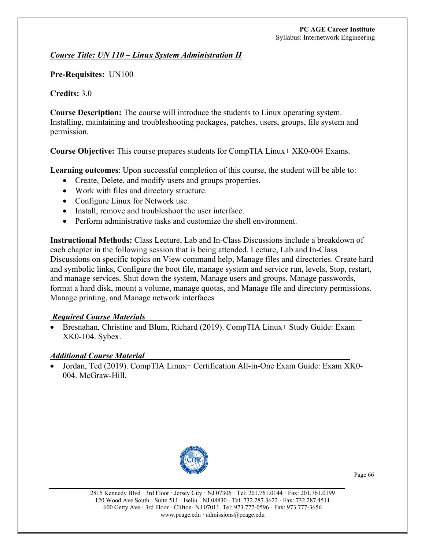#### *Course Title: UN 110 – Linux System Administration II*

#### **Pre-Requisites:** UN100

#### **Credits:** 3.0

**Course Description:** The course will introduce the students to Linux operating system. Installing, maintaining and troubleshooting packages, patches, users, groups, file system and permission.

**Course Objective:** This course prepares students for CompTIA Linux+ XK0-004 Exams.

**Learning outcomes**: Upon successful completion of this course, the student will be able to:

- Create, Delete, and modify users and groups properties.
- Work with files and directory structure.
- Configure Linux for Network use.
- Install, remove and troubleshoot the user interface.
- Perform administrative tasks and customize the shell environment.

**Instructional Methods:** Class Lecture, Lab and In-Class Discussions include a breakdown of each chapter in the following session that is being attended. Lecture, Lab and In-Class Discussions on specific topics on View command help, Manage files and directories. Create hard and symbolic links, Configure the boot file, manage system and service run, levels, Stop, restart, and manage services. Shut down the system, Manage users and groups. Manage passwords, format a hard disk, mount a volume, manage quotas, and Manage file and directory permissions. Manage printing, and Manage network interfaces

#### *Required Course Materials*

• Bresnahan, Christine and Blum, Richard (2019). CompTIA Linux+ Study Guide: Exam XK0-104. Sybex.

#### *Additional Course Material*

• Jordan, Ted (2019). CompTIA Linux+ Certification All-in-One Exam Guide: Exam XK0- 004. McGraw-Hill.



<sup>2815</sup> Kennedy Blvd · 3rd Floor · Jersey City · NJ 07306 · Tel: 201.761.0144 · Fax: 201.761.0199 120 Wood Ave South · Suite 511 · Iselin · NJ 08830 · Tel: 732.287.3622 · Fax: 732.287.4511 600 Getty Ave · 3rd Floor · Clifton· NJ 07011. Tel: 973.777-0596 · Fax: 973.777-3656 www.pcage.edu · admissions@pcage.edu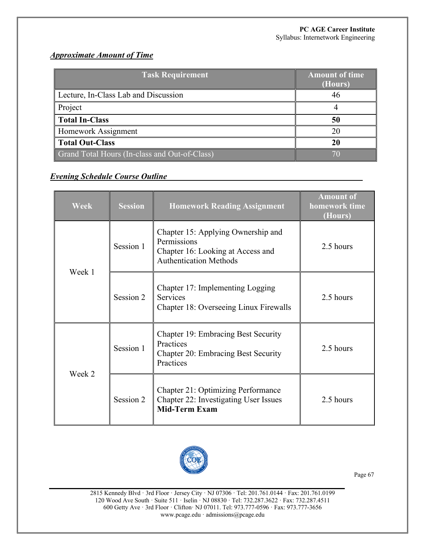# *Approximate Amount of Time*

| <b>Task Requirement</b>                       | <b>Amount of time</b><br>(Hours) |
|-----------------------------------------------|----------------------------------|
| Lecture, In-Class Lab and Discussion          | 46                               |
| Project                                       |                                  |
| <b>Total In-Class</b>                         | 50                               |
| Homework Assignment                           |                                  |
| <b>Total Out-Class</b>                        | 20                               |
| Grand Total Hours (In-class and Out-of-Class) |                                  |

## *Evening Schedule Course Outline*

| <b>Week</b> | <b>Session</b> | <b>Homework Reading Assignment</b>                                                                                      | <b>Amount of</b><br>homework time<br>(Hours) |
|-------------|----------------|-------------------------------------------------------------------------------------------------------------------------|----------------------------------------------|
| Week 1      | Session 1      | Chapter 15: Applying Ownership and<br>Permissions<br>Chapter 16: Looking at Access and<br><b>Authentication Methods</b> | 2.5 hours                                    |
|             | Session 2      | Chapter 17: Implementing Logging<br><b>Services</b><br>Chapter 18: Overseeing Linux Firewalls                           | 2.5 hours                                    |
| Week 2      | Session 1      | <b>Chapter 19: Embracing Best Security</b><br>Practices<br><b>Chapter 20: Embracing Best Security</b><br>Practices      | 2.5 hours                                    |
|             | Session 2      | <b>Chapter 21: Optimizing Performance</b><br>Chapter 22: Investigating User Issues<br><b>Mid-Term Exam</b>              | 2.5 hours                                    |



Page 67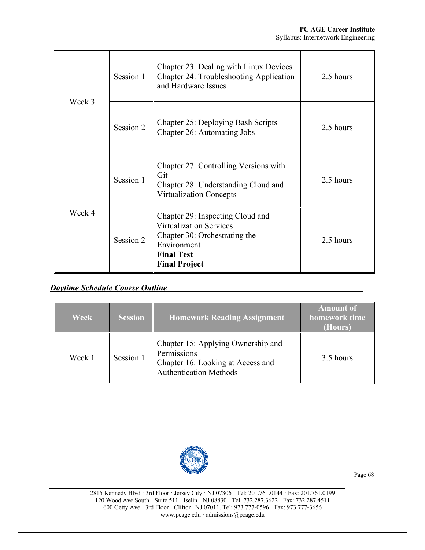| Week 3 | Session 1 | Chapter 23: Dealing with Linux Devices<br>Chapter 24: Troubleshooting Application<br>and Hardware Issues                                                        | 2.5 hours |
|--------|-----------|-----------------------------------------------------------------------------------------------------------------------------------------------------------------|-----------|
|        | Session 2 | Chapter 25: Deploying Bash Scripts<br>Chapter 26: Automating Jobs                                                                                               | 2.5 hours |
| Week 4 | Session 1 | Chapter 27: Controlling Versions with<br>Git<br>Chapter 28: Understanding Cloud and<br><b>Virtualization Concepts</b>                                           | 2.5 hours |
|        | Session 2 | Chapter 29: Inspecting Cloud and<br><b>Virtualization Services</b><br>Chapter 30: Orchestrating the<br>Environment<br><b>Final Test</b><br><b>Final Project</b> | 2.5 hours |

# *Daytime Schedule Course Outline*

| <b>Week</b> | <b>Session</b> | <b>Homework Reading Assignment</b>                                                                                      | <b>Amount of</b><br>homework time<br>(Hours) |
|-------------|----------------|-------------------------------------------------------------------------------------------------------------------------|----------------------------------------------|
| Week 1      | Session 1      | Chapter 15: Applying Ownership and<br>Permissions<br>Chapter 16: Looking at Access and<br><b>Authentication Methods</b> | 3.5 hours                                    |



Page 68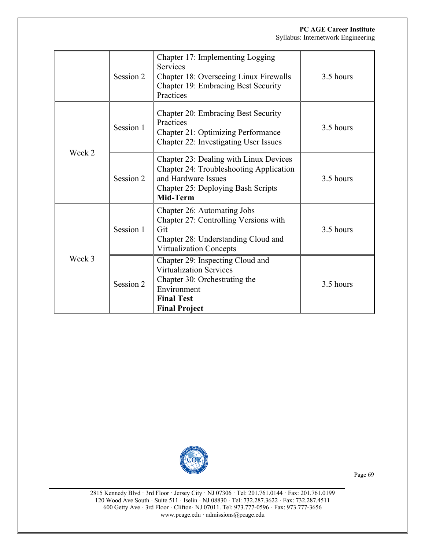|        | Session 2 | Chapter 17: Implementing Logging<br><b>Services</b><br>Chapter 18: Overseeing Linux Firewalls<br>Chapter 19: Embracing Best Security<br>Practices               | 3.5 hours |
|--------|-----------|-----------------------------------------------------------------------------------------------------------------------------------------------------------------|-----------|
| Week 2 | Session 1 | <b>Chapter 20: Embracing Best Security</b><br>Practices<br><b>Chapter 21: Optimizing Performance</b><br>Chapter 22: Investigating User Issues                   | 3.5 hours |
|        | Session 2 | Chapter 23: Dealing with Linux Devices<br>Chapter 24: Troubleshooting Application<br>and Hardware Issues<br>Chapter 25: Deploying Bash Scripts<br>Mid-Term      | 3.5 hours |
| Week 3 | Session 1 | Chapter 26: Automating Jobs<br>Chapter 27: Controlling Versions with<br>Git<br>Chapter 28: Understanding Cloud and<br><b>Virtualization Concepts</b>            | 3.5 hours |
|        | Session 2 | Chapter 29: Inspecting Cloud and<br><b>Virtualization Services</b><br>Chapter 30: Orchestrating the<br>Environment<br><b>Final Test</b><br><b>Final Project</b> | 3.5 hours |



Page 69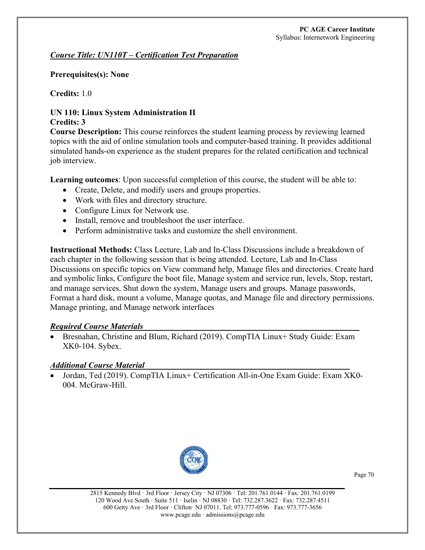## *Course Title: UN110T – Certification Test Preparation*

#### **Prerequisites(s): None**

**Credits:** 1.0

#### **UN 110: Linux System Administration II Credits: 3**

**Course Description:** This course reinforces the student learning process by reviewing learned topics with the aid of online simulation tools and computer-based training. It provides additional simulated hands-on experience as the student prepares for the related certification and technical job interview.

**Learning outcomes**: Upon successful completion of this course, the student will be able to:

- Create, Delete, and modify users and groups properties.
- Work with files and directory structure.
- Configure Linux for Network use.
- Install, remove and troubleshoot the user interface.
- Perform administrative tasks and customize the shell environment.

**Instructional Methods:** Class Lecture, Lab and In-Class Discussions include a breakdown of each chapter in the following session that is being attended. Lecture, Lab and In-Class Discussions on specific topics on View command help, Manage files and directories. Create hard and symbolic links, Configure the boot file, Manage system and service run, levels, Stop, restart, and manage services. Shut down the system, Manage users and groups. Manage passwords, Format a hard disk, mount a volume, Manage quotas, and Manage file and directory permissions. Manage printing, and Manage network interfaces

#### *Required Course Materials*

• Bresnahan, Christine and Blum, Richard (2019). CompTIA Linux+ Study Guide: Exam XK0-104. Sybex.

#### *Additional Course Material*

• Jordan, Ted (2019). CompTIA Linux+ Certification All-in-One Exam Guide: Exam XK0-004. McGraw-Hill.

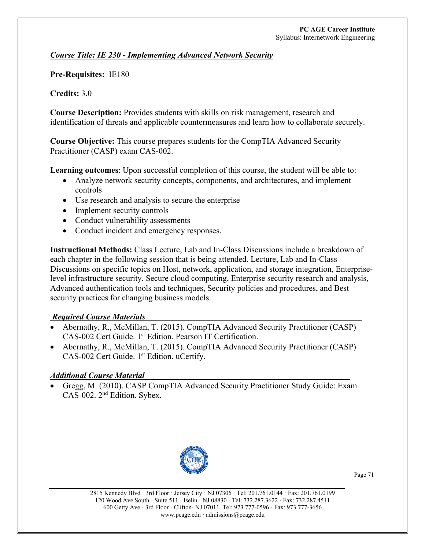*Course Title: IE 230 - Implementing Advanced Network Security*

**Pre-Requisites:** IE180

#### **Credits:** 3.0

**Course Description:** Provides students with skills on risk management, research and identification of threats and applicable countermeasures and learn how to collaborate securely.

**Course Objective:** This course prepares students for the CompTIA Advanced Security Practitioner (CASP) exam CAS-002.

**Learning outcomes**: Upon successful completion of this course, the student will be able to:

- Analyze network security concepts, components, and architectures, and implement controls
- Use research and analysis to secure the enterprise
- Implement security controls
- Conduct vulnerability assessments
- Conduct incident and emergency responses.

**Instructional Methods:** Class Lecture, Lab and In-Class Discussions include a breakdown of each chapter in the following session that is being attended. Lecture, Lab and In-Class Discussions on specific topics on Host, network, application, and storage integration, Enterpriselevel infrastructure security, Secure cloud computing, Enterprise security research and analysis, Advanced authentication tools and techniques, Security policies and procedures, and Best security practices for changing business models.

#### *Required Course Materials*

- Abernathy, R., McMillan, T. (2015). CompTIA Advanced Security Practitioner (CASP) CAS-002 Cert Guide. 1st Edition. Pearson IT Certification.
- Abernathy, R., McMillan, T. (2015). CompTIA Advanced Security Practitioner (CASP) CAS-002 Cert Guide. 1<sup>st</sup> Edition. uCertify.

#### *Additional Course Material*

• Gregg, M. (2010). CASP CompTIA Advanced Security Practitioner Study Guide: Exam CAS-002. 2nd Edition. Sybex.



Page 71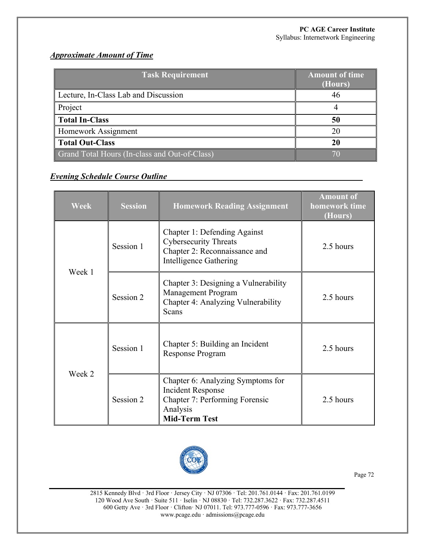# *Approximate Amount of Time*

| <b>Task Requirement</b>                       | <b>Amount of time</b><br>(Hours) |
|-----------------------------------------------|----------------------------------|
| Lecture, In-Class Lab and Discussion          | 46                               |
| Project                                       |                                  |
| <b>Total In-Class</b>                         | 50                               |
| Homework Assignment                           |                                  |
| <b>Total Out-Class</b>                        | 20                               |
| Grand Total Hours (In-class and Out-of-Class) |                                  |

## *Evening Schedule Course Outline*

| <b>Week</b>                               | <b>Session</b>                                                                                   | <b>Homework Reading Assignment</b>                                                                                                  | <b>Amount of</b><br>homework time<br>(Hours) |
|-------------------------------------------|--------------------------------------------------------------------------------------------------|-------------------------------------------------------------------------------------------------------------------------------------|----------------------------------------------|
| Session 1<br>Week 1<br>Session 2<br>Scans |                                                                                                  | Chapter 1: Defending Against<br><b>Cybersecurity Threats</b><br>Chapter 2: Reconnaissance and<br><b>Intelligence Gathering</b>      | 2.5 hours                                    |
|                                           | Chapter 3: Designing a Vulnerability<br>Management Program<br>Chapter 4: Analyzing Vulnerability | 2.5 hours                                                                                                                           |                                              |
| Week 2                                    | Session 1                                                                                        | Chapter 5: Building an Incident<br><b>Response Program</b>                                                                          | 2.5 hours                                    |
|                                           | Session 2                                                                                        | Chapter 6: Analyzing Symptoms for<br><b>Incident Response</b><br>Chapter 7: Performing Forensic<br>Analysis<br><b>Mid-Term Test</b> | 2.5 hours                                    |

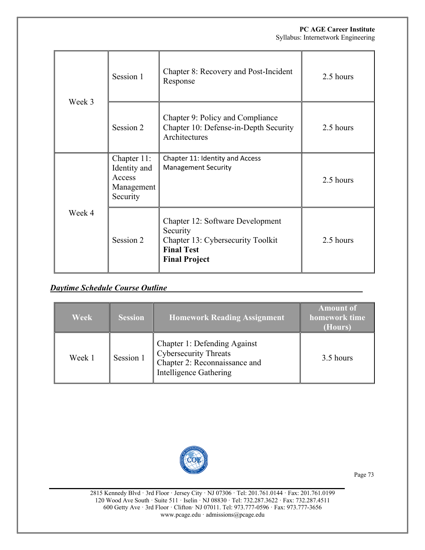#### **PC AGE Career Institute** Syllabus: Internetwork Engineering

| Week 3 | Session 1                                                       | Chapter 8: Recovery and Post-Incident<br>Response                                                                              | 2.5 hours |
|--------|-----------------------------------------------------------------|--------------------------------------------------------------------------------------------------------------------------------|-----------|
|        | Session 2                                                       | Chapter 9: Policy and Compliance<br>Chapter 10: Defense-in-Depth Security<br>Architectures                                     | 2.5 hours |
| Week 4 | Chapter 11:<br>Identity and<br>Access<br>Management<br>Security | Chapter 11: Identity and Access<br><b>Management Security</b>                                                                  | 2.5 hours |
|        | Session 2                                                       | Chapter 12: Software Development<br>Security<br>Chapter 13: Cybersecurity Toolkit<br><b>Final Test</b><br><b>Final Project</b> | 2.5 hours |

# *Daytime Schedule Course Outline*

| <b>Week</b> | <b>Session</b> | <b>Homework Reading Assignment</b>                                                                               | <b>Amount of</b><br>homework time<br>(Hours) |
|-------------|----------------|------------------------------------------------------------------------------------------------------------------|----------------------------------------------|
| Week 1      | Session 1      | Chapter 1: Defending Against<br>Cybersecurity Threats<br>Chapter 2: Reconnaissance and<br>Intelligence Gathering | 3.5 hours                                    |



Page 73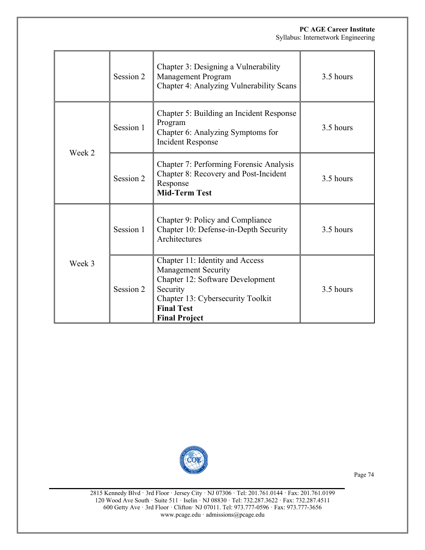#### **PC AGE Career Institute** Syllabus: Internetwork Engineering

|        | Session 2 | Chapter 3: Designing a Vulnerability<br>Management Program<br>Chapter 4: Analyzing Vulnerability Scans                                                                                          | 3.5 hours |
|--------|-----------|-------------------------------------------------------------------------------------------------------------------------------------------------------------------------------------------------|-----------|
| Week 2 | Session 1 | Chapter 5: Building an Incident Response<br>Program<br>Chapter 6: Analyzing Symptoms for<br><b>Incident Response</b>                                                                            | 3.5 hours |
|        | Session 2 | Chapter 7: Performing Forensic Analysis<br>Chapter 8: Recovery and Post-Incident<br>Response<br><b>Mid-Term Test</b>                                                                            | 3.5 hours |
| Week 3 | Session 1 | Chapter 9: Policy and Compliance<br>Chapter 10: Defense-in-Depth Security<br>Architectures                                                                                                      | 3.5 hours |
|        | Session 2 | Chapter 11: Identity and Access<br><b>Management Security</b><br>Chapter 12: Software Development<br>Security<br>Chapter 13: Cybersecurity Toolkit<br><b>Final Test</b><br><b>Final Project</b> | 3.5 hours |



Page 74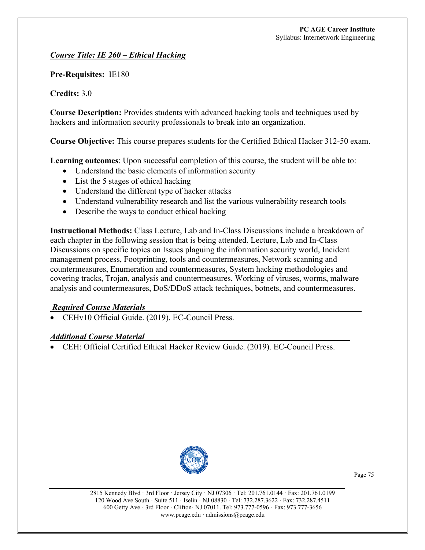### *Course Title: IE 260 – Ethical Hacking*

**Pre-Requisites:** IE180

### **Credits:** 3.0

**Course Description:** Provides students with advanced hacking tools and techniques used by hackers and information security professionals to break into an organization.

**Course Objective:** This course prepares students for the Certified Ethical Hacker 312-50 exam.

**Learning outcomes**: Upon successful completion of this course, the student will be able to:

- Understand the basic elements of information security
- List the 5 stages of ethical hacking
- Understand the different type of hacker attacks
- Understand vulnerability research and list the various vulnerability research tools
- Describe the ways to conduct ethical hacking

**Instructional Methods:** Class Lecture, Lab and In-Class Discussions include a breakdown of each chapter in the following session that is being attended. Lecture, Lab and In-Class Discussions on specific topics on Issues plaguing the information security world, Incident management process, Footprinting, tools and countermeasures, Network scanning and countermeasures, Enumeration and countermeasures, System hacking methodologies and covering tracks, Trojan, analysis and countermeasures, Working of viruses, worms, malware analysis and countermeasures, DoS/DDoS attack techniques, botnets, and countermeasures.

## *Required Course Materials*

• CEHv10 Official Guide. (2019). EC-Council Press.

## *Additional Course Material*

• CEH: Official Certified Ethical Hacker Review Guide. (2019). EC-Council Press.

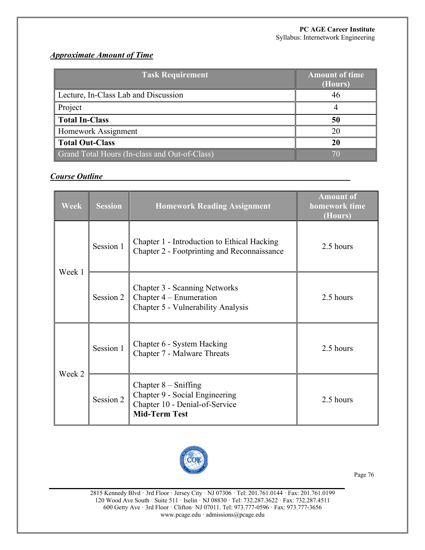# *Approximate Amount of Time*

| <b>Task Requirement</b>                       | <b>Amount of time</b><br>(Hours) |
|-----------------------------------------------|----------------------------------|
| Lecture, In-Class Lab and Discussion          | 46                               |
| Project                                       |                                  |
| <b>Total In-Class</b>                         | 50                               |
| Homework Assignment                           |                                  |
| <b>Total Out-Class</b>                        | 20                               |
| Grand Total Hours (In-class and Out-of-Class) |                                  |

### *Course Outline*

| Week   | <b>Session</b> | <b>Homework Reading Assignment</b>                                                                                 | <b>Amount of</b><br>homework time<br>(Hours) |
|--------|----------------|--------------------------------------------------------------------------------------------------------------------|----------------------------------------------|
| Week 1 | Session 1      | Chapter 1 - Introduction to Ethical Hacking<br>Chapter 2 - Footprinting and Reconnaissance                         | 2.5 hours                                    |
|        | Session 2      | Chapter 3 - Scanning Networks<br>Chapter $4$ – Enumeration<br>Chapter 5 - Vulnerability Analysis                   | 2.5 hours                                    |
| Week 2 | Session 1      | Chapter 6 - System Hacking<br>Chapter 7 - Malware Threats                                                          | 2.5 hours                                    |
|        | Session 2      | Chapter $8 -$ Sniffing<br>Chapter 9 - Social Engineering<br>Chapter 10 - Denial-of-Service<br><b>Mid-Term Test</b> | 2.5 hours                                    |



Page 76